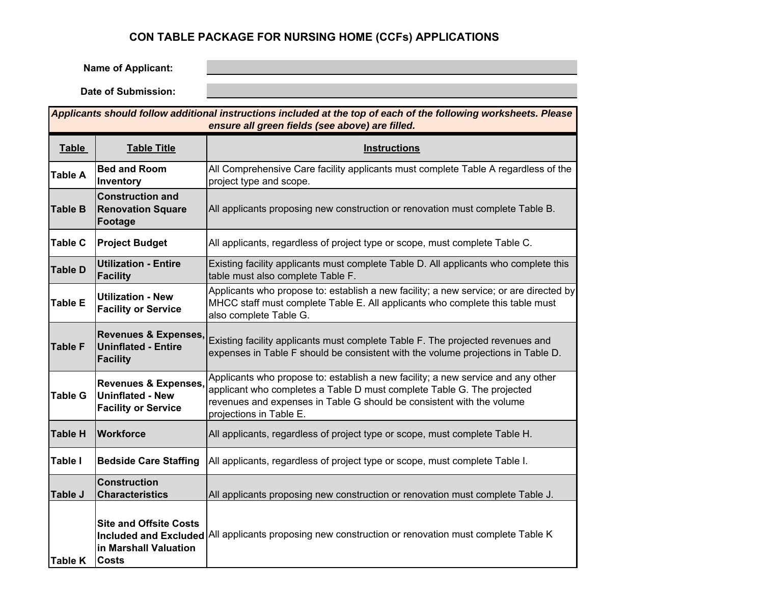# **CON TABLE PACKAGE FOR NURSING HOME (CCFs) APPLICATIONS**

**Name of Applicant:**

**Date of Submission:**

| Applicants should follow additional instructions included at the top of each of the following worksheets. Please<br>ensure all green fields (see above) are filled. |                                                                                          |                                                                                                                                                                                                                                                                |  |  |  |  |  |  |  |  |
|---------------------------------------------------------------------------------------------------------------------------------------------------------------------|------------------------------------------------------------------------------------------|----------------------------------------------------------------------------------------------------------------------------------------------------------------------------------------------------------------------------------------------------------------|--|--|--|--|--|--|--|--|
| <b>Table</b>                                                                                                                                                        | <b>Table Title</b>                                                                       | <b>Instructions</b>                                                                                                                                                                                                                                            |  |  |  |  |  |  |  |  |
| <b>Table A</b>                                                                                                                                                      | <b>Bed and Room</b><br>Inventory                                                         | All Comprehensive Care facility applicants must complete Table A regardless of the<br>project type and scope.                                                                                                                                                  |  |  |  |  |  |  |  |  |
| <b>Table B</b>                                                                                                                                                      | <b>Construction and</b><br><b>Renovation Square</b><br>Footage                           | All applicants proposing new construction or renovation must complete Table B.                                                                                                                                                                                 |  |  |  |  |  |  |  |  |
| <b>Table C</b>                                                                                                                                                      | <b>Project Budget</b>                                                                    | All applicants, regardless of project type or scope, must complete Table C.                                                                                                                                                                                    |  |  |  |  |  |  |  |  |
| <b>Table D</b>                                                                                                                                                      | <b>Utilization - Entire</b><br>Facility                                                  | Existing facility applicants must complete Table D. All applicants who complete this<br>table must also complete Table F.                                                                                                                                      |  |  |  |  |  |  |  |  |
| <b>Table E</b>                                                                                                                                                      | <b>Utilization - New</b><br><b>Facility or Service</b>                                   | Applicants who propose to: establish a new facility; a new service; or are directed by<br>MHCC staff must complete Table E. All applicants who complete this table must<br>also complete Table G.                                                              |  |  |  |  |  |  |  |  |
| <b>Table F</b>                                                                                                                                                      | <b>Revenues &amp; Expenses,</b><br><b>Uninflated - Entire</b><br><b>Facility</b>         | Existing facility applicants must complete Table F. The projected revenues and<br>expenses in Table F should be consistent with the volume projections in Table D.                                                                                             |  |  |  |  |  |  |  |  |
| <b>Table G</b>                                                                                                                                                      | <b>Revenues &amp; Expenses,</b><br><b>Uninflated - New</b><br><b>Facility or Service</b> | Applicants who propose to: establish a new facility; a new service and any other<br>applicant who completes a Table D must complete Table G. The projected<br>revenues and expenses in Table G should be consistent with the volume<br>projections in Table E. |  |  |  |  |  |  |  |  |
| <b>Table H</b>                                                                                                                                                      | Workforce                                                                                | All applicants, regardless of project type or scope, must complete Table H.                                                                                                                                                                                    |  |  |  |  |  |  |  |  |
| <b>Table I</b>                                                                                                                                                      | <b>Bedside Care Staffing</b>                                                             | All applicants, regardless of project type or scope, must complete Table I.                                                                                                                                                                                    |  |  |  |  |  |  |  |  |
| Table J                                                                                                                                                             | <b>Construction</b><br><b>Characteristics</b>                                            | All applicants proposing new construction or renovation must complete Table J.                                                                                                                                                                                 |  |  |  |  |  |  |  |  |
| <b>Table K</b>                                                                                                                                                      | <b>Site and Offsite Costs</b><br>in Marshall Valuation<br><b>Costs</b>                   | Included and Excluded All applicants proposing new construction or renovation must complete Table K                                                                                                                                                            |  |  |  |  |  |  |  |  |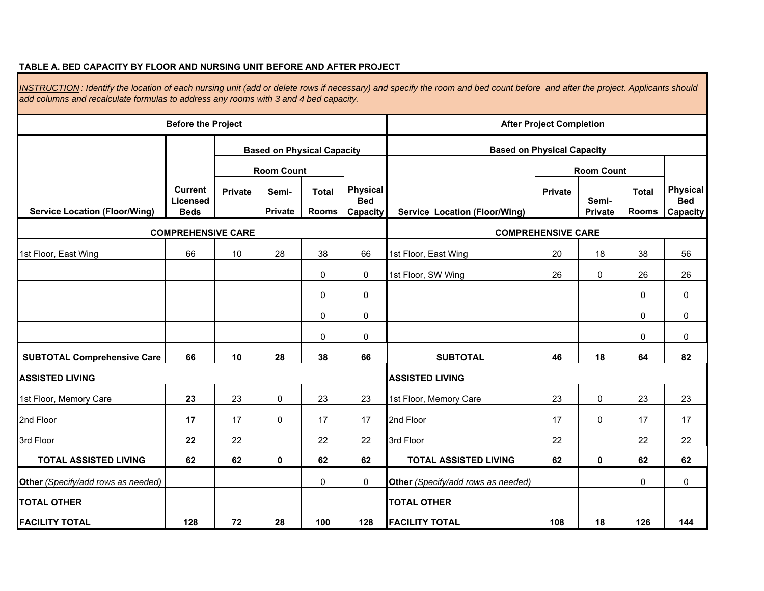#### **TABLE A. BED CAPACITY BY FLOOR AND NURSING UNIT BEFORE AND AFTER PROJECT**

 **Based on Physical Capacit y Private Semi- Total Private Total Private Rooms Rooms Capacity Service Location (Floor/Wing) Service Location (Floor/Wing) Private**66 | 10 | 28 | 38 | 66 | 1st Floor, East Wing | 20 | 18 | 38 | 56 0 0 26 0 26 26 1st Floor, SW Wing 00 00 00 00 00 00 **66 10 28 38 66 46 18 64 82 23**23 0 23 23 1st Floor, Memory Care 1 23 0 23 23 **177** | 17 | 0 | 17 | 17 | 2nd Floor | 17 | 0 | 17 | 17 **22**2 | 22 | 22 | 22 | 3rd Floor | 22 | | 22 | 22 **62 62 0 62 62 62 0 62 62 TOTAL ASSISTED LIVING TOTAL ASSISTED LIVING**  00 00 **Other** *(Specify/add rows as needed)* **Other** *(Specify/add rows as needed)* **128 72 28 100 128 108 18 126 144 FACILITY TOTAL** 2nd Floor 2nd Floor **TOTAL OTHER TOTAL OTHER FACILITY TOTAL**3rd Floor22 22 3rd Floor SUBTOTAL Comprehensive Care | 66 | 10 | 28 | 38 | 66 | SUBTOTAL **ASSISTED LIVING ASSISTED LIVING** 1st Floor, Memory Care **COMPREHENSIVE CARE COMPREHENSIVE CARE** 1st Floor, East Wing *INSTRUCTION : Identify the location of each nursing unit (add or delete rows if necessary) and specify the room and bed count before and after the project. Applicants should add columns and recalculate formulas to address any rooms with 3 and 4 bed capacity.*  **Before the Project** *Completion After Project Completion* **Current Licensed BedsBased on Physical Capacity Room CountPhysical Bed Room CountPhysical Bed Capacity Semi-**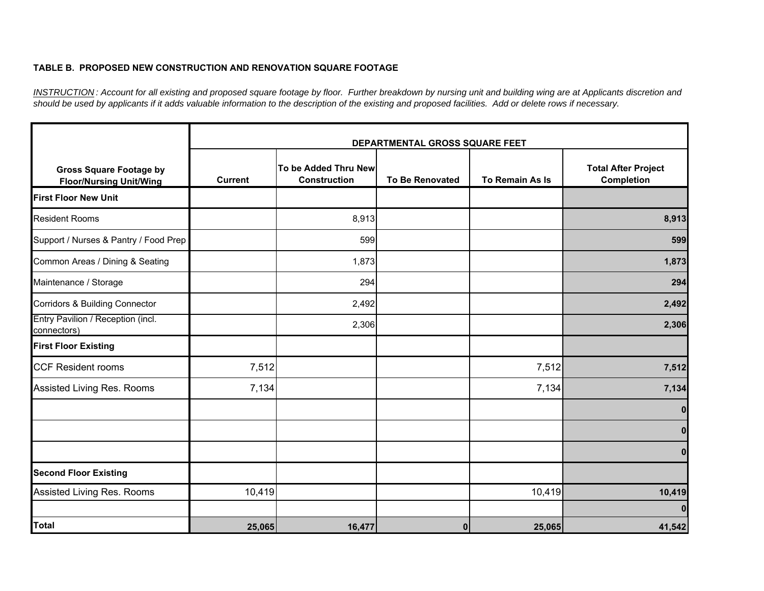### **TABLE B. PROPOSED NEW CONSTRUCTION AND RENOVATION SQUARE FOOTAGE**

*INSTRUCTION : Account for all existing and proposed square footage by floor. Further breakdown by nursing unit and building wing are at Applicants discretion and should be used by applicants if it adds valuable information to the description of the existing and proposed facilities. Add or delete rows if necessary.*

|                                                                  |                |                                             | DEPARTMENTAL GROSS SQUARE FEET |                 |                                                 |
|------------------------------------------------------------------|----------------|---------------------------------------------|--------------------------------|-----------------|-------------------------------------------------|
| <b>Gross Square Footage by</b><br><b>Floor/Nursing Unit/Wing</b> | <b>Current</b> | To be Added Thru New<br><b>Construction</b> | <b>To Be Renovated</b>         | To Remain As Is | <b>Total After Project</b><br><b>Completion</b> |
| <b>First Floor New Unit</b>                                      |                |                                             |                                |                 |                                                 |
| <b>Resident Rooms</b>                                            |                | 8,913                                       |                                |                 | 8,913                                           |
| Support / Nurses & Pantry / Food Prep                            |                | 599                                         |                                |                 | 599                                             |
| Common Areas / Dining & Seating                                  |                | 1,873                                       |                                |                 | 1,873                                           |
| Maintenance / Storage                                            |                | 294                                         |                                |                 | 294                                             |
| <b>Corridors &amp; Building Connector</b>                        |                | 2,492                                       |                                |                 | 2,492                                           |
| Entry Pavilion / Reception (incl.<br>connectors)                 |                | 2,306                                       |                                |                 | 2,306                                           |
| <b>First Floor Existing</b>                                      |                |                                             |                                |                 |                                                 |
| <b>CCF Resident rooms</b>                                        | 7,512          |                                             |                                | 7,512           | 7,512                                           |
| Assisted Living Res. Rooms                                       | 7,134          |                                             |                                | 7,134           | 7,134                                           |
|                                                                  |                |                                             |                                |                 | 0                                               |
|                                                                  |                |                                             |                                |                 | $\bf{0}$                                        |
|                                                                  |                |                                             |                                |                 | $\bf{0}$                                        |
| <b>Second Floor Existing</b>                                     |                |                                             |                                |                 |                                                 |
| Assisted Living Res. Rooms                                       | 10,419         |                                             |                                | 10,419          | 10,419                                          |
|                                                                  |                |                                             |                                |                 | $\bf{0}$                                        |
| Total                                                            | 25,065         | 16,477                                      | $\mathbf{0}$                   | 25,065          | 41,542                                          |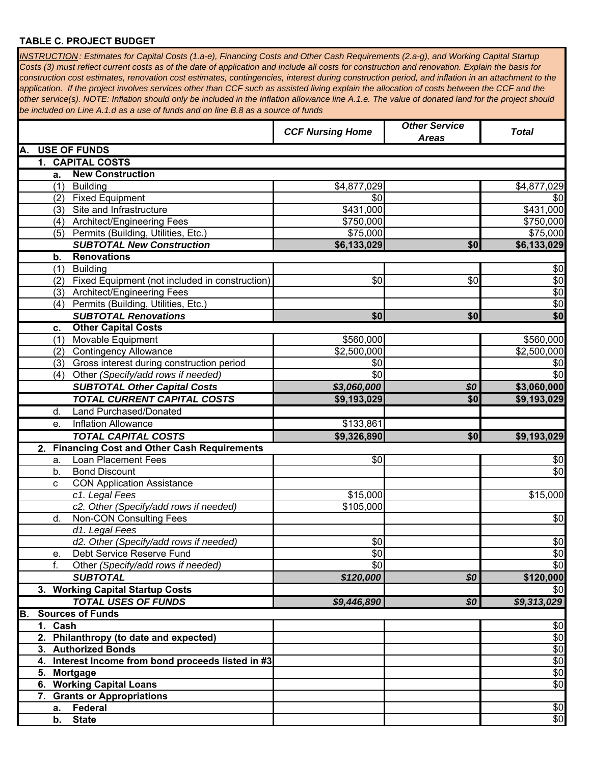### **TABLE C. PROJECT BUDGET**

*INSTRUCTION : Estimates for Capital Costs (1.a-e), Financing Costs and Other Cash Requirements (2.a-g), and Working Capital Startup Costs (3) must reflect current costs as of the date of application and include all costs for construction and renovation. Explain the basis for construction cost estimates, renovation cost estimates, contingencies, interest during construction period, and inflation in an attachment to the*  application. If the project involves services other than CCF such as assisted living explain the allocation of costs between the CCF and the *other service(s). NOTE: Inflation should only be included in the Inflation allowance line A.1.e. The value of donated land for the project should be included on Line A.1.d as a use of funds and on line B.8 as a source of funds*

|                                                         | <b>CCF Nursing Home</b> | <b>Other Service</b><br><b>Areas</b> | <b>Total</b> |
|---------------------------------------------------------|-------------------------|--------------------------------------|--------------|
| <b>USE OF FUNDS</b><br>А.                               |                         |                                      |              |
| 1. CAPITAL COSTS                                        |                         |                                      |              |
| <b>New Construction</b><br>а.                           |                         |                                      |              |
| (1) Building                                            | \$4,877,029             |                                      | \$4,877,029  |
| (2) Fixed Equipment                                     | \$0                     |                                      | \$0          |
| Site and Infrastructure<br>(3)                          | \$431,000               |                                      | \$431,000    |
| Architect/Engineering Fees<br>(4)                       | \$750,000               |                                      | \$750,000    |
| (5) Permits (Building, Utilities, Etc.)                 | \$75,000                |                                      | \$75,000     |
| <b>SUBTOTAL New Construction</b>                        | \$6,133,029             | \$0                                  | \$6,133,029  |
| <b>Renovations</b><br>b.                                |                         |                                      |              |
| <b>Building</b><br>(1)                                  |                         |                                      | \$0          |
| (2) Fixed Equipment (not included in construction)      | \$0                     | \$0                                  | \$0          |
| (3) Architect/Engineering Fees                          |                         |                                      | \$0          |
| (4) Permits (Building, Utilities, Etc.)                 |                         |                                      | \$0          |
| <b>SUBTOTAL Renovations</b>                             | \$0                     | \$0                                  | \$0          |
| <b>Other Capital Costs</b><br>c.                        |                         |                                      |              |
| Movable Equipment<br>(1)                                | \$560,000               |                                      | \$560,000    |
| <b>Contingency Allowance</b><br>(2)                     | \$2,500,000             |                                      | \$2,500,000  |
| Gross interest during construction period<br>(3)        | \$0                     |                                      | \$0          |
| Other (Specify/add rows if needed)<br>(4)               | \$0                     |                                      | $\sqrt{6}$   |
| <b>SUBTOTAL Other Capital Costs</b>                     | \$3,060,000             | \$0                                  | \$3,060,000  |
| <b>TOTAL CURRENT CAPITAL COSTS</b>                      | \$9,193,029             | \$0                                  | \$9,193,029  |
| <b>Land Purchased/Donated</b><br>d.                     |                         |                                      |              |
| <b>Inflation Allowance</b><br>е.                        | \$133,861               |                                      |              |
| <b>TOTAL CAPITAL COSTS</b>                              | \$9,326,890             | \$0                                  | \$9,193,029  |
| <b>Financing Cost and Other Cash Requirements</b><br>2. |                         |                                      |              |
| Loan Placement Fees<br>a.                               | \$0                     |                                      | \$0          |
| <b>Bond Discount</b><br>b.                              |                         |                                      | \$0          |
| <b>CON Application Assistance</b><br>C                  |                         |                                      |              |
| c1. Legal Fees                                          | \$15,000                |                                      | \$15,000     |
| c2. Other (Specify/add rows if needed)                  | \$105,000               |                                      |              |
| Non-CON Consulting Fees<br>d.                           |                         |                                      | \$0          |
| d1. Legal Fees                                          |                         |                                      |              |
| d2. Other (Specify/add rows if needed)                  | \$0                     |                                      | \$0          |
| Debt Service Reserve Fund<br>e.                         | \$0                     |                                      | \$0          |
| f.<br>Other (Specify/add rows if needed)                | \$0                     |                                      | \$0          |
| <b>SUBTOTAL</b>                                         | \$120,000               | \$0                                  | \$120,000    |
| 3. Working Capital Startup Costs                        |                         |                                      | \$0          |
| <b>TOTAL USES OF FUNDS</b>                              | \$9,446,890             | \$0                                  | \$9,313,029  |
| <b>Sources of Funds</b><br>B.                           |                         |                                      |              |
| 1. Cash                                                 |                         |                                      | \$0          |
| 2. Philanthropy (to date and expected)                  |                         |                                      | \$0          |
| 3. Authorized Bonds                                     |                         |                                      | \$0          |
| 4. Interest Income from bond proceeds listed in #3      |                         |                                      | \$0          |
| 5. Mortgage                                             |                         |                                      | \$0          |
| 6. Working Capital Loans                                |                         |                                      | \$0          |
| 7. Grants or Appropriations                             |                         |                                      |              |
| Federal<br>а.                                           |                         |                                      | \$0          |
| <b>State</b><br>b.                                      |                         |                                      | $\sqrt{6}$   |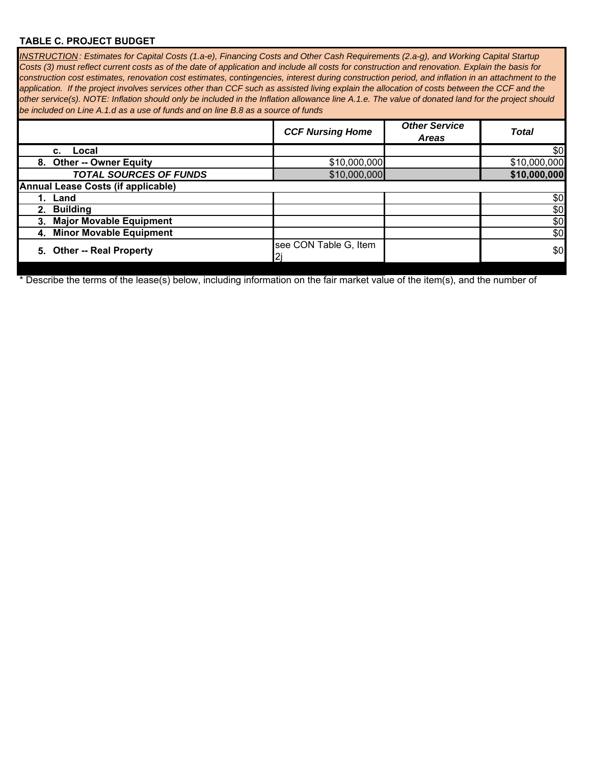### **TABLE C. PROJECT BUDGET**

*INSTRUCTION : Estimates for Capital Costs (1.a-e), Financing Costs and Other Cash Requirements (2.a-g), and Working Capital Startup Costs (3) must reflect current costs as of the date of application and include all costs for construction and renovation. Explain the basis for construction cost estimates, renovation cost estimates, contingencies, interest during construction period, and inflation in an attachment to the application.* If the project involves services other than CCF such as assisted living explain the allocation of costs between the CCF and the *other service(s). NOTE: Inflation should only be included in the Inflation allowance line A.1.e. The value of donated land for the project should be included on Line A.1.d as a use of funds and on line B.8 as a source of funds*

|                                           | <b>CCF Nursing Home</b> | <b>Other Service</b><br><b>Areas</b> | <b>Total</b> |
|-------------------------------------------|-------------------------|--------------------------------------|--------------|
| c. Local                                  |                         |                                      | \$0          |
| 8. Other -- Owner Equity                  | \$10,000,000            |                                      | \$10,000,000 |
| <b>TOTAL SOURCES OF FUNDS</b>             | \$10,000,000            |                                      | \$10,000,000 |
| <b>Annual Lease Costs (if applicable)</b> |                         |                                      |              |
| 1. Land                                   |                         |                                      | \$0          |
| 2. Building                               |                         |                                      | \$0          |
| 3. Major Movable Equipment                |                         |                                      | \$0          |
| 4. Minor Movable Equipment                |                         |                                      | \$0          |
| 5. Other -- Real Property                 | see CON Table G, Item   |                                      | \$0          |

\* Describe the terms of the lease(s) below, including information on the fair market value of the item(s), and the number of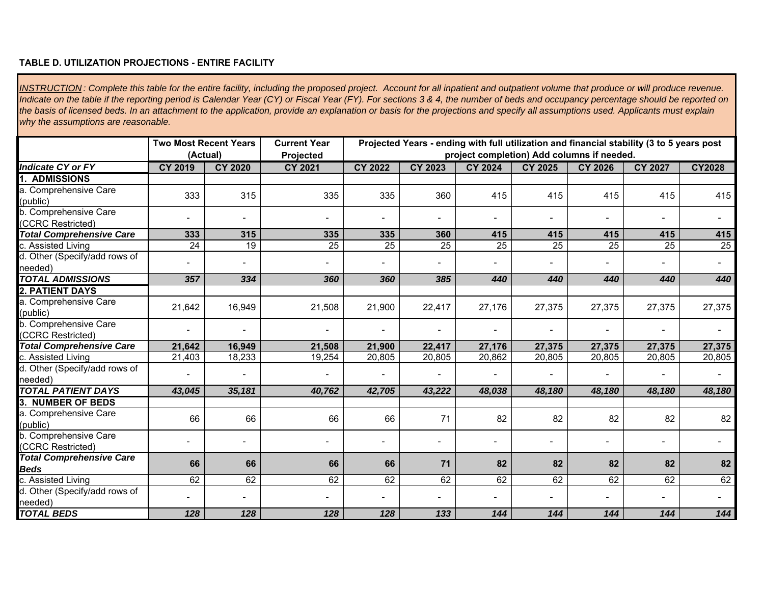### **TABLE D. UTILIZATION PROJECTIONS - ENTIRE FACILITY**

*INSTRUCTION : Complete this table for the entire facility, including the proposed project. Account for all inpatient and outpatient volume that produce or will produce revenue. Indicate on the table if the reporting period is Calendar Year (CY) or Fiscal Year (FY). For sections 3 & 4, the number of beds and occupancy percentage should be reported on the basis of licensed beds. In an attachment to the application, provide an explanation or basis for the projections and specify all assumptions used. Applicants must explain why the assumptions are reasonable.* 

|                                                   | <b>Two Most Recent Years</b> |                | <b>Current Year</b> |                |                | Projected Years - ending with full utilization and financial stability (3 to 5 years post |                |                 |                |               |
|---------------------------------------------------|------------------------------|----------------|---------------------|----------------|----------------|-------------------------------------------------------------------------------------------|----------------|-----------------|----------------|---------------|
|                                                   |                              | (Actual)       | Projected           |                |                | project completion) Add columns if needed.                                                |                |                 |                |               |
| <b>Indicate CY or FY</b>                          | <b>CY 2019</b>               | <b>CY 2020</b> | <b>CY 2021</b>      | <b>CY 2022</b> | <b>CY 2023</b> | <b>CY 2024</b>                                                                            | <b>CY 2025</b> | <b>CY 2026</b>  | <b>CY 2027</b> | <b>CY2028</b> |
| 1.<br><b>ADMISSIONS</b>                           |                              |                |                     |                |                |                                                                                           |                |                 |                |               |
| a. Comprehensive Care<br>(public)                 | 333                          | 315            | 335                 | 335            | 360            | 415                                                                                       | 415            | 415             | 415            | 415           |
| <b>b.</b> Comprehensive Care<br>(CCRC Restricted) |                              |                |                     | $\blacksquare$ | Ξ.             |                                                                                           |                |                 |                |               |
| <b>Total Comprehensive Care</b>                   | 333                          | 315            | 335                 | 335            | 360            | 415                                                                                       | 415            | 415             | 415            | 415           |
| c. Assisted Living                                | 24                           | 19             | $\overline{25}$     | 25             | 25             | 25                                                                                        | 25             | $\overline{25}$ | 25             | 25            |
| d. Other (Specify/add rows of<br>needed)          |                              |                |                     |                |                |                                                                                           |                |                 |                |               |
| <b>TOTAL ADMISSIONS</b>                           | 357                          | 334            | 360                 | 360            | 385            | 440                                                                                       | 440            | 440             | 440            | 440           |
| 2. PATIENT DAYS                                   |                              |                |                     |                |                |                                                                                           |                |                 |                |               |
| a. Comprehensive Care<br>(public)                 | 21,642                       | 16,949         | 21,508              | 21,900         | 22,417         | 27,176                                                                                    | 27,375         | 27,375          | 27,375         | 27,375        |
| b. Comprehensive Care<br>(CCRC Restricted)        |                              |                |                     | $\blacksquare$ |                |                                                                                           |                |                 |                |               |
| <b>Total Comprehensive Care</b>                   | 21,642                       | 16,949         | 21,508              | 21,900         | 22,417         | 27,176                                                                                    | 27,375         | 27,375          | 27,375         | 27,375        |
| c. Assisted Living                                | 21,403                       | 18,233         | 19,254              | 20,805         | 20,805         | 20,862                                                                                    | 20,805         | 20,805          | 20,805         | 20,805        |
| d. Other (Specify/add rows of<br>needed)          |                              |                |                     |                |                |                                                                                           |                |                 |                |               |
| <b>TOTAL PATIENT DAYS</b>                         | 43,045                       | 35,181         | 40,762              | 42,705         | 43,222         | 48,038                                                                                    | 48,180         | 48,180          | 48,180         | 48,180        |
| 3. NUMBER OF BEDS                                 |                              |                |                     |                |                |                                                                                           |                |                 |                |               |
| a. Comprehensive Care<br>(public)                 | 66                           | 66             | 66                  | 66             | 71             | 82                                                                                        | 82             | 82              | 82             | 82            |
| b. Comprehensive Care<br>(CCRC Restricted)        |                              |                |                     | $\blacksquare$ | Ξ.             |                                                                                           |                |                 |                |               |
| <b>Total Comprehensive Care</b><br><b>Beds</b>    | 66                           | 66             | 66                  | 66             | 71             | 82                                                                                        | 82             | 82              | 82             | 82            |
| c. Assisted Living                                | 62                           | 62             | 62                  | 62             | 62             | 62                                                                                        | 62             | 62              | 62             | 62            |
| d. Other (Specify/add rows of<br>needed)          |                              |                |                     | $\blacksquare$ | ۰              |                                                                                           |                |                 |                |               |
| <b>TOTAL BEDS</b>                                 | 128                          | 128            | 128                 | 128            | 133            | 144                                                                                       | 144            | 144             | 144            | 144           |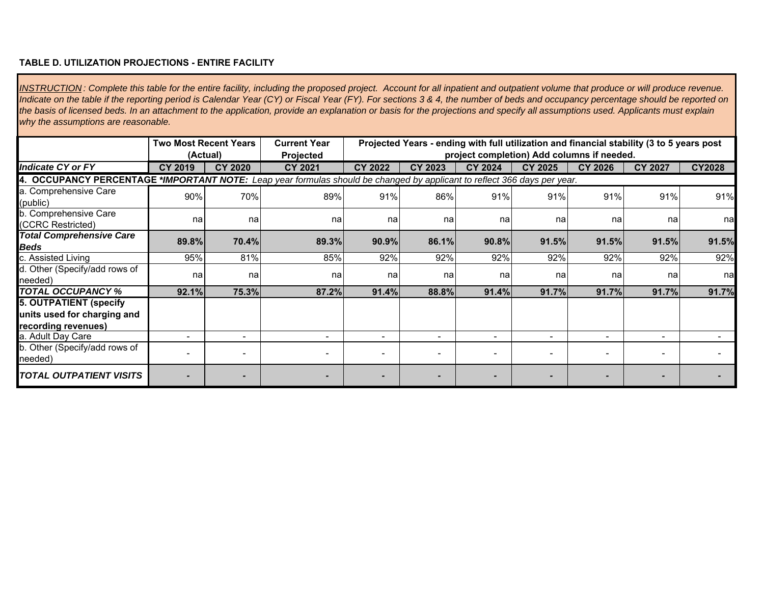### **TABLE D. UTILIZATION PROJECTIONS - ENTIRE FACILITY**

*INSTRUCTION : Complete this table for the entire facility, including the proposed project. Account for all inpatient and outpatient volume that produce or will produce revenue. Indicate on the table if the reporting period is Calendar Year (CY) or Fiscal Year (FY). For sections 3 & 4, the number of beds and occupancy percentage should be reported on the basis of licensed beds. In an attachment to the application, provide an explanation or basis for the projections and specify all assumptions used. Applicants must explain why the assumptions are reasonable.* 

|                                                                                                                          |                | <b>Two Most Recent Years</b><br>(Actual) | <b>Current Year</b><br>Projected |                          | Projected Years - ending with full utilization and financial stability (3 to 5 years post |                | project completion) Add columns if needed. |                |                |               |
|--------------------------------------------------------------------------------------------------------------------------|----------------|------------------------------------------|----------------------------------|--------------------------|-------------------------------------------------------------------------------------------|----------------|--------------------------------------------|----------------|----------------|---------------|
| <b>Indicate CY or FY</b>                                                                                                 | <b>CY 2019</b> | <b>CY 2020</b>                           | <b>CY 2021</b>                   | <b>CY 2022</b>           | CY 2023                                                                                   | <b>CY 2024</b> | <b>CY 2025</b>                             | <b>CY 2026</b> | <b>CY 2027</b> | <b>CY2028</b> |
| 4. OCCUPANCY PERCENTAGE *IMPORTANT NOTE: Leap year formulas should be changed by applicant to reflect 366 days per year. |                |                                          |                                  |                          |                                                                                           |                |                                            |                |                |               |
| a. Comprehensive Care<br>(public)                                                                                        | 90%            | 70%                                      | 89%                              | 91%                      | 86%                                                                                       | 91%            | 91%                                        | 91%            | 91%            | 91%           |
| b. Comprehensive Care<br>(CCRC Restricted)                                                                               | na             | na                                       | na                               | nal                      | nal                                                                                       | na             | na                                         | na             | na             | na            |
| <b>Total Comprehensive Care</b><br><b>Beds</b>                                                                           | 89.8%          | 70.4%                                    | 89.3%                            | 90.9%                    | 86.1%                                                                                     | 90.8%          | 91.5%                                      | 91.5%          | 91.5%          | 91.5%         |
| c. Assisted Living                                                                                                       | 95%            | 81%                                      | 85%                              | 92%                      | 92%                                                                                       | 92%            | 92%                                        | 92%            | 92%            | 92%           |
| d. Other (Specify/add rows of<br>needed)                                                                                 | na             | na                                       | na                               | nal                      | nal                                                                                       | na             | na                                         | na             | na             | na            |
| <b>TOTAL OCCUPANCY %</b>                                                                                                 | 92.1%          | 75.3%                                    | 87.2%                            | 91.4%                    | 88.8%                                                                                     | 91.4%          | 91.7%                                      | 91.7%          | 91.7%          | 91.7%         |
| <b>5. OUTPATIENT (specify</b><br>units used for charging and<br>recording revenues)                                      |                |                                          |                                  |                          |                                                                                           |                |                                            |                |                |               |
| a. Adult Day Care                                                                                                        |                |                                          | ۰                                | $\blacksquare$           | ۰.                                                                                        |                | $\overline{\phantom{a}}$                   | ۰              |                |               |
| b. Other (Specify/add rows of<br>needed)                                                                                 |                |                                          |                                  | $\overline{\phantom{0}}$ |                                                                                           |                |                                            |                |                |               |
| <i><b>TOTAL OUTPATIENT VISITS</b></i>                                                                                    |                |                                          | $\overline{\phantom{a}}$         | $\overline{\phantom{0}}$ |                                                                                           |                |                                            |                |                |               |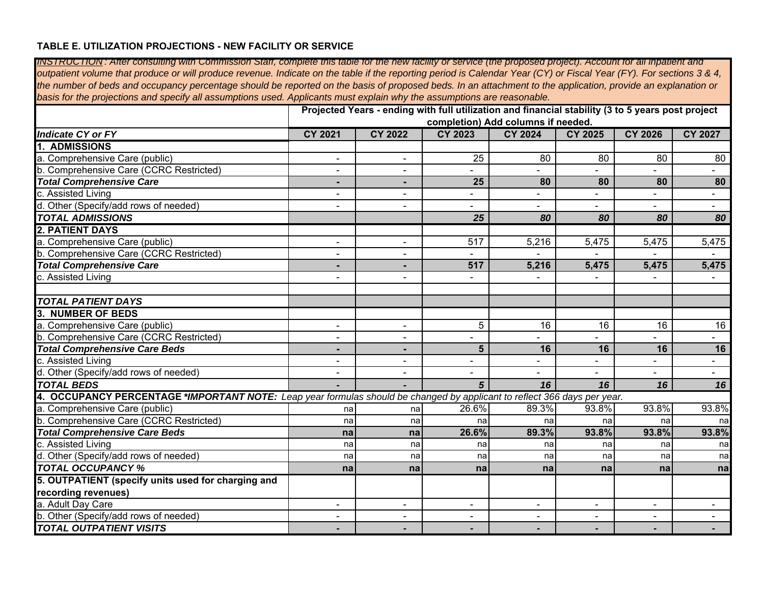### **TABLE E. UTILIZATION PROJECTIONS - NEW FACILITY OR SERVICE**

| TINS I RUCTION : After consulting with Commission Staff, complete this table for the new facility or service (the proposed project). Account for all inpatient and   |                          |                |                  |                                                                                                   |                |                          |                |
|----------------------------------------------------------------------------------------------------------------------------------------------------------------------|--------------------------|----------------|------------------|---------------------------------------------------------------------------------------------------|----------------|--------------------------|----------------|
| outpatient volume that produce or will produce revenue. Indicate on the table if the reporting period is Calendar Year (CY) or Fiscal Year (FY). For sections 3 & 4, |                          |                |                  |                                                                                                   |                |                          |                |
| the number of beds and occupancy percentage should be reported on the basis of proposed beds. In an attachment to the application, provide an explanation or         |                          |                |                  |                                                                                                   |                |                          |                |
| basis for the projections and specify all assumptions used. Applicants must explain why the assumptions are reasonable.                                              |                          |                |                  |                                                                                                   |                |                          |                |
|                                                                                                                                                                      |                          |                |                  | Projected Years - ending with full utilization and financial stability (3 to 5 years post project |                |                          |                |
|                                                                                                                                                                      |                          |                |                  | completion) Add columns if needed.                                                                |                |                          |                |
| <b>Indicate CY or FY</b>                                                                                                                                             | <b>CY 2021</b>           | <b>CY 2022</b> | <b>CY 2023</b>   | <b>CY 2024</b>                                                                                    | <b>CY 2025</b> | <b>CY 2026</b>           | <b>CY 2027</b> |
| 1. ADMISSIONS                                                                                                                                                        |                          |                |                  |                                                                                                   |                |                          |                |
| a. Comprehensive Care (public)                                                                                                                                       |                          |                | 25               | 80                                                                                                | 80             | 80                       | 80             |
| b. Comprehensive Care (CCRC Restricted)                                                                                                                              | $\blacksquare$           | $\blacksquare$ |                  | ÷.                                                                                                | ÷.             |                          |                |
| <b>Total Comprehensive Care</b>                                                                                                                                      | ٠                        | $\blacksquare$ | 25               | 80                                                                                                | 80             | 80                       | 80             |
| c. Assisted Living                                                                                                                                                   |                          |                |                  |                                                                                                   |                |                          |                |
| d. Other (Specify/add rows of needed)                                                                                                                                |                          |                |                  |                                                                                                   |                |                          | $\blacksquare$ |
| <b>TOTAL ADMISSIONS</b>                                                                                                                                              |                          |                | 25               | 80                                                                                                | 80             | 80                       | 80             |
| <b>2. PATIENT DAYS</b>                                                                                                                                               |                          |                |                  |                                                                                                   |                |                          |                |
| a. Comprehensive Care (public)                                                                                                                                       | $\overline{a}$           |                | $\overline{517}$ | 5,216                                                                                             | 5,475          | 5,475                    | 5,475          |
| b. Comprehensive Care (CCRC Restricted)                                                                                                                              | $\overline{\phantom{a}}$ | $\sim$         | $\blacksquare$   |                                                                                                   |                |                          |                |
| <b>Total Comprehensive Care</b>                                                                                                                                      |                          | $\blacksquare$ | 517              | 5,216                                                                                             | 5,475          | 5,475                    | 5,475          |
| c. Assisted Living                                                                                                                                                   |                          |                |                  |                                                                                                   |                |                          |                |
|                                                                                                                                                                      |                          |                |                  |                                                                                                   |                |                          |                |
| <b>TOTAL PATIENT DAYS</b>                                                                                                                                            |                          |                |                  |                                                                                                   |                |                          |                |
| <b>3. NUMBER OF BEDS</b>                                                                                                                                             |                          |                |                  |                                                                                                   |                |                          |                |
| a. Comprehensive Care (public)                                                                                                                                       |                          |                | 5                | 16                                                                                                | 16             | 16                       | 16             |
| b. Comprehensive Care (CCRC Restricted)                                                                                                                              | $\sim$                   | $\sim$         | $\overline{a}$   | $\sim$                                                                                            | $\mathbf{r}$   | $\overline{\phantom{0}}$ | $\sim$         |
| <b>Total Comprehensive Care Beds</b>                                                                                                                                 |                          | $\blacksquare$ | 5                | 16                                                                                                | 16             | 16                       | 16             |
| c. Assisted Living                                                                                                                                                   |                          | $\blacksquare$ |                  |                                                                                                   |                |                          |                |
| d. Other (Specify/add rows of needed)                                                                                                                                |                          |                | $\blacksquare$   |                                                                                                   | $\blacksquare$ |                          | $\blacksquare$ |
| <b>TOTAL BEDS</b>                                                                                                                                                    |                          |                | $5\overline{5}$  | 16                                                                                                | 16             | 16                       | 16             |
| 4. OCCUPANCY PERCENTAGE *IMPORTANT NOTE: Leap year formulas should be changed by applicant to reflect 366 days per year.                                             |                          |                |                  |                                                                                                   |                |                          |                |
| a. Comprehensive Care (public)                                                                                                                                       | na                       | nal            | 26.6%            | 89.3%                                                                                             | 93.8%          | 93.8%                    | 93.8%          |
| b. Comprehensive Care (CCRC Restricted)                                                                                                                              | na                       | na             | na               | na                                                                                                | na             | nal                      | na             |
| <b>Total Comprehensive Care Beds</b>                                                                                                                                 | na                       | na             | 26.6%            | 89.3%                                                                                             | 93.8%          | 93.8%                    | 93.8%          |
| c. Assisted Living                                                                                                                                                   | na                       | na             | na               | na                                                                                                | na             | na                       | na             |
| d. Other (Specify/add rows of needed)                                                                                                                                | na                       | na             | na               | na                                                                                                | na             | nal                      | na             |
| <b>TOTAL OCCUPANCY %</b>                                                                                                                                             | na                       | na             | na               | na                                                                                                | na             | na                       | na             |
| 5. OUTPATIENT (specify units used for charging and                                                                                                                   |                          |                |                  |                                                                                                   |                |                          |                |
| recording revenues)                                                                                                                                                  |                          |                |                  |                                                                                                   |                |                          |                |
| a. Adult Day Care                                                                                                                                                    |                          |                |                  |                                                                                                   |                |                          |                |
| b. Other (Specify/add rows of needed)                                                                                                                                |                          | $\blacksquare$ | $\blacksquare$   | $\blacksquare$                                                                                    | $\blacksquare$ | ÷.                       | $\blacksquare$ |
| <b>TOTAL OUTPATIENT VISITS</b>                                                                                                                                       |                          |                |                  |                                                                                                   |                |                          |                |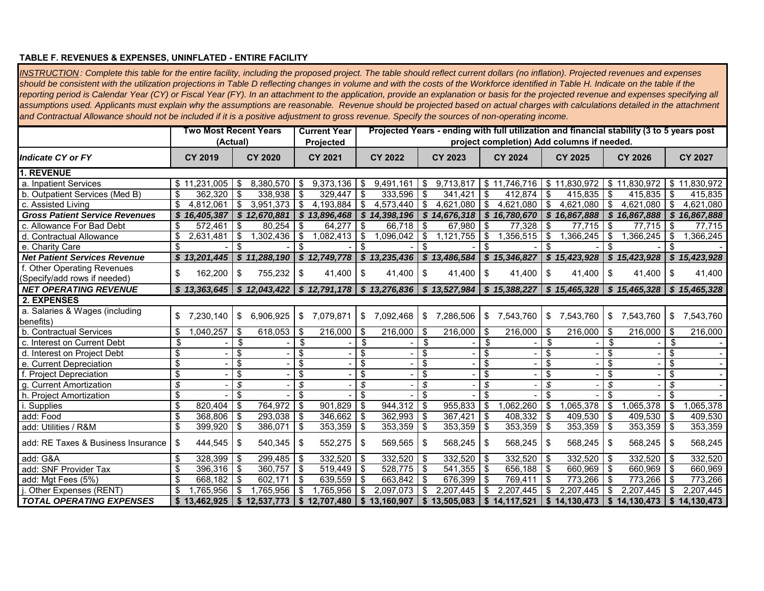#### **TABLE F. REVENUES & EXPENSES, UNINFLATED - ENTIRE FACILITY**

*INSTRUCTION : Complete this table for the entire facility, including the proposed project. The table should reflect current dollars (no inflation). Projected revenues and expenses should be consistent with the utilization projections in Table D reflecting changes in volume and with the costs of the Workforce identified in Table H. Indicate on the table if the reporting period is Calendar Year (CY) or Fiscal Year (FY). In an attachment to the application, provide an explanation or basis for the projected revenue and expenses specifying all*  assumptions used. Applicants must explain why the assumptions are reasonable. Revenue should be projected based on actual charges with calculations detailed in the attachment *and Contractual Allowance should not be included if it is a positive adjustment to gross revenue. Specify the sources of non-operating income.* 

|                                       |                                      | Two Most Recent Years<br>(Actual) |                                        |                                |                                  | <b>Current Year</b><br>Projected | Projected Years - ending with full utilization and financial stability (3 to 5 years post<br>project completion) Add columns if needed. |                                                                                                                               |               |                |                          |                                             |            |              |                         |                             |            |                             |
|---------------------------------------|--------------------------------------|-----------------------------------|----------------------------------------|--------------------------------|----------------------------------|----------------------------------|-----------------------------------------------------------------------------------------------------------------------------------------|-------------------------------------------------------------------------------------------------------------------------------|---------------|----------------|--------------------------|---------------------------------------------|------------|--------------|-------------------------|-----------------------------|------------|-----------------------------|
| Indicate CY or FY                     |                                      | <b>CY 2019</b>                    |                                        | <b>CY 2020</b>                 |                                  | <b>CY 2021</b>                   |                                                                                                                                         | CY 2022                                                                                                                       |               | <b>CY 2023</b> |                          | <b>CY 2024</b>                              |            | CY 2025      |                         | <b>CY 2026</b>              |            | <b>CY 2027</b>              |
| 1. REVENUE                            |                                      |                                   |                                        |                                |                                  |                                  |                                                                                                                                         |                                                                                                                               |               |                |                          |                                             |            |              |                         |                             |            |                             |
| a. Inpatient Services                 |                                      | \$11,231,005                      | - \$                                   | 8,380,570                      | - \$                             | 9,373,136                        | - \$                                                                                                                                    | 9,491,161                                                                                                                     | \$            | 9,713,817      |                          | \$11,746,716                                |            | \$11,830,972 | l \$                    | 11.830.972                  |            | \$11,830,972                |
| b. Outpatient Services (Med B)        | \$                                   | 362,320                           | -\$                                    | 338,938                        | -\$                              | 329,447                          | \$                                                                                                                                      | 333,596                                                                                                                       | \$            | 341,421        | -\$                      | 412,874                                     | \$         | 415,835      | l \$                    | 415,835                     | l \$       | 415,835                     |
| c. Assisted Living                    | \$                                   | 4,812,061                         | $\frac{1}{2}$                          | 3,951,373                      | $\overline{\mathbf{3}}$          | 4,193,884                        | \$                                                                                                                                      | 4,573,440                                                                                                                     | $\bullet$     | 4,621,080      | ها                       | 4,621,080                                   | $\sqrt{3}$ | 4,621,080    | l \$                    | 4,621,080                   | l \$       | 4,621,080                   |
| <b>Gross Patient Service Revenues</b> |                                      | \$16,405,387                      |                                        | \$12,670,881                   |                                  | \$13,896,468                     |                                                                                                                                         | \$14,398,196                                                                                                                  |               | \$14,676,318   |                          | \$16,780,670                                |            | \$16,867,888 |                         | \$16,867,888                |            | \$16,867,888                |
| c. Allowance For Bad Debt             | \$                                   | 572,461                           | -\$                                    | 80,254                         | \$                               | 64,277                           | $\overline{\mathbf{s}}$                                                                                                                 | 66,718                                                                                                                        | \$            | 67,980         | \$                       | 77,328                                      | \$         | 77,715       | \$                      | 77,715                      | \$         | 77,715                      |
| d. Contractual Allowance              | \$                                   | 2,631,481                         | -\$                                    | 1,302,436                      | \$                               | 1,082,413                        | \$                                                                                                                                      | 1,096,042                                                                                                                     | \$            | 1,121,755      | \$                       | 1,356,515                                   | \$         | 1,366,245    | l \$                    | 1,366,245                   | \$         | 1,366,245                   |
| e. Charity Care                       | \$                                   |                                   | \$                                     |                                |                                  |                                  | \$                                                                                                                                      |                                                                                                                               | \$            |                | \$                       |                                             | \$.        |              |                         |                             |            |                             |
| <b>Net Patient Services Revenue</b>   |                                      | \$13,201,445                      |                                        | \$11,288,190                   |                                  | \$12,749,778                     |                                                                                                                                         | $\frac{1}{2}$ \$ 13,235,436                                                                                                   |               | \$13,486,584   |                          | \$15,346,827                                |            |              |                         | $$15,423,928$ $$15,423,928$ |            | \$15,423,928                |
| f. Other Operating Revenues           | \$                                   | 162,200                           | -\$                                    | 755,232                        | -\$                              | 41,400                           | - \$                                                                                                                                    | 41,400                                                                                                                        | \$            | 41,400         | l \$                     | 41.400                                      | \$         | 41,400       | l \$                    | 41,400                      | - \$       | 41,400                      |
| (Specify/add rows if needed)          |                                      |                                   |                                        |                                |                                  |                                  |                                                                                                                                         |                                                                                                                               |               |                |                          |                                             |            |              |                         |                             |            |                             |
| <b>NET OPERATING REVENUE</b>          |                                      | \$13,363,645                      |                                        |                                |                                  |                                  |                                                                                                                                         | \$ 12,043,422   \$ 12,791,178   \$ 13,276,836   \$ 13,527,984   \$ 15,388,227   \$ 15,465,328   \$ 15,465,328   \$ 15,465,328 |               |                |                          |                                             |            |              |                         |                             |            |                             |
| 2. EXPENSES                           |                                      |                                   |                                        |                                |                                  |                                  |                                                                                                                                         |                                                                                                                               |               |                |                          |                                             |            |              |                         |                             |            |                             |
| a. Salaries & Wages (including        |                                      | \$7,230,140                       | \$                                     | 6,906,925                      | \$                               | 7,079,871                        | \$                                                                                                                                      | 7,092,468                                                                                                                     | \$            | 7,286,506      | \$                       | 7,543,760                                   |            | \$7,543,760  | \$                      | 7,543,760                   |            | \$7,543,760                 |
| benefits)                             |                                      |                                   |                                        |                                |                                  |                                  |                                                                                                                                         |                                                                                                                               |               |                |                          |                                             |            |              |                         |                             |            |                             |
| b. Contractual Services               | \$                                   | ,040,257                          | - \$                                   | 618,053                        | -\$                              | 216,000                          | -\$                                                                                                                                     | 216,000                                                                                                                       | \$            | 216,000        | <b>S</b>                 | 216,000                                     | \$         | 216,000      | l \$                    | 216,000                     | \$         | 216,000                     |
| c. Interest on Current Debt           | \$                                   |                                   | \$                                     |                                | \$                               |                                  | \$                                                                                                                                      |                                                                                                                               | \$            |                | \$                       |                                             | \$         |              | \$                      |                             | \$         |                             |
| d. Interest on Project Debt           | \$                                   |                                   | \$                                     |                                | \$                               |                                  | \$                                                                                                                                      |                                                                                                                               | \$            |                | \$                       |                                             | \$         |              | \$                      |                             | \$         |                             |
| e. Current Depreciation               | $\overline{\boldsymbol{\theta}}$     |                                   | $\overline{\boldsymbol{\mathfrak{s}}}$ |                                | \$                               |                                  | $\overline{\mathbf{S}}$                                                                                                                 |                                                                                                                               | \$            |                | $\overline{\mathcal{S}}$ |                                             | \$         |              | $\overline{\mathbf{s}}$ |                             | \$         |                             |
| f. Project Depreciation               | \$                                   |                                   | \$                                     |                                | \$                               |                                  | \$                                                                                                                                      |                                                                                                                               | \$            |                | \$                       |                                             | \$         |              | \$                      |                             | \$         |                             |
| g. Current Amortization               | \$                                   |                                   | \$                                     |                                | \$                               |                                  | \$                                                                                                                                      |                                                                                                                               | \$            |                | \$                       |                                             | \$         |              | \$                      |                             | \$         |                             |
| h. Project Amortization               | \$                                   |                                   | \$                                     |                                | \$                               |                                  | \$                                                                                                                                      |                                                                                                                               | \$            |                | \$                       |                                             | \$         |              | \$                      |                             | \$         |                             |
| i. Supplies                           | $\overline{\boldsymbol{\mathsf{s}}}$ | 820,404                           | $\overline{\boldsymbol{\theta}}$       | 764,972                        | $\overline{\boldsymbol{\theta}}$ | 901,829                          | $\frac{1}{2}$                                                                                                                           | 944,312                                                                                                                       | $\frac{1}{2}$ | 955,833        | T\$                      | 1,062,260                                   | $\sqrt{3}$ | 1,065,378    | T\$                     | 1,065,378                   | $\sqrt{3}$ | 1,065,378                   |
| add: Food                             | \$                                   | 368,806                           | \$                                     | 293,038                        | -\$                              | 346,662                          | \$                                                                                                                                      | 362,993                                                                                                                       | \$            | 367,421        | l \$                     | $408,332$ \$                                |            | 409,530      | $\sqrt{3}$              | 409,530 \$                  |            | 409,530                     |
| add: Utilities / R&M                  | \$                                   | 399,920                           | - \$                                   | 386,071                        | -\$                              | 353,359                          | ∣\$                                                                                                                                     | 353,359                                                                                                                       | \$            | 353,359        | \$                       | 353,359                                     | <b>\$</b>  | 353,359      | l \$                    | 353,359                     | - \$       | 353,359                     |
| add: RE Taxes & Business Insurance    | \$                                   | 444,545                           | -\$                                    | 540,345                        | -\$                              | 552,275                          | -\$                                                                                                                                     | 569,565                                                                                                                       | \$            | 568,245        | -\$                      | 568,245                                     | S          | 568,245      | l \$                    | 568,245                     | S          | 568,245                     |
| add: G&A                              | \$                                   | 328,399                           | -\$                                    | 299,485                        | - \$                             | 332,520                          | -\$                                                                                                                                     | 332,520                                                                                                                       | \$            | 332,520        | ∣\$                      | 332,520                                     | -S         | 332,520      | l \$                    | 332,520                     | \$.        | 332,520                     |
| add: SNF Provider Tax                 | \$                                   | 396.316                           | l \$                                   | 360,757                        | -\$                              | 519,449                          | -\$                                                                                                                                     | 528,775                                                                                                                       | \$            | 541,355        | ∣\$                      | 656,188                                     | - \$       | 660,969      | l \$                    | 660,969                     | -\$        | 660,969                     |
| add: Mgt Fees (5%)                    | \$                                   | 668.182                           | l \$                                   | 602.171                        | \$                               | 639,559                          | -\$                                                                                                                                     | 663.842                                                                                                                       | \$            | 676,399        | ∣\$                      | 769.411                                     | \$         | 773.266      | l \$                    | $\overline{773,}266$        | -\$        | 773.266                     |
| j. Other Expenses (RENT)              | \$                                   | 1,765,956                         | <b>S</b>                               | 1,765,956                      | \$                               | 1,765,956                        | \$                                                                                                                                      | 2,097,073                                                                                                                     | \$            | 2,207,445      | -\$                      | 2,207,445                                   | \$         | 2,207,445    | - \$                    | 2,207,445                   | \$         | 2,207,445                   |
| <b>TOTAL OPERATING EXPENSES</b>       |                                      |                                   |                                        | $$13,462,925 \mid $12,537,773$ |                                  | $\frac{1}{2}$ \$ 12,707,480      |                                                                                                                                         | \$13,160,907                                                                                                                  |               | \$13,505,083   |                          | $\vert$ \$ 14,117,521 $\vert$ \$ 14,130,473 |            |              |                         | $\frac{1}{2}$ \$ 14,130,473 |            | $\frac{1}{2}$ \$ 14,130,473 |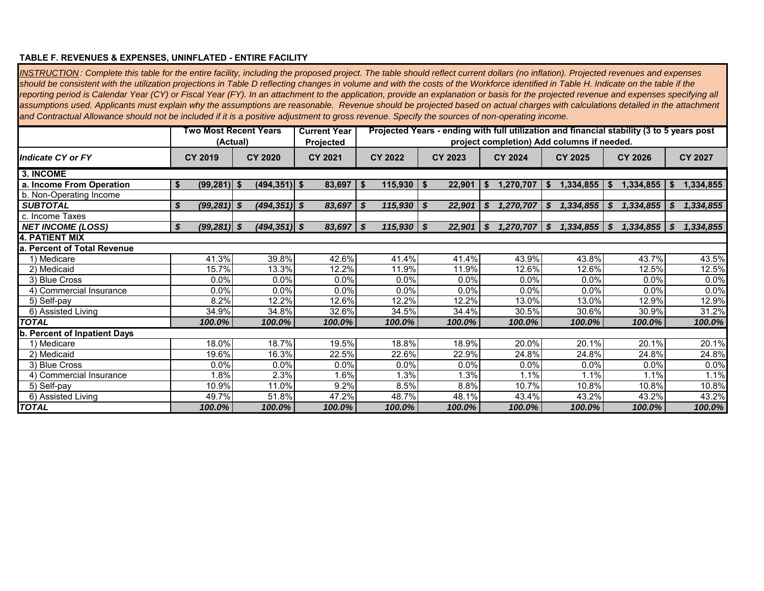#### **TABLE F. REVENUES & EXPENSES, UNINFLATED - ENTIRE FACILITY**

*INSTRUCTION : Complete this table for the entire facility, including the proposed project. The table should reflect current dollars (no inflation). Projected revenues and expenses should be consistent with the utilization projections in Table D reflecting changes in volume and with the costs of the Workforce identified in Table H. Indicate on the table if the reporting period is Calendar Year (CY) or Fiscal Year (FY). In an attachment to the application, provide an explanation or basis for the projected revenue and expenses specifying all assumptions used. Applicants must explain why the assumptions are reasonable. Revenue should be projected based on actual charges with calculations detailed in the attachment and Contractual Allowance should not be included if it is a positive adjustment to gross revenue. Specify the sources of non-operating income.* 

|                                  |                      | Two Most Recent Years | <b>Current Year</b> | Projected Years - ending with full utilization and financial stability (3 to 5 years post<br>project completion) Add columns if needed. |               |                  |                 |                         |                |  |  |  |  |  |
|----------------------------------|----------------------|-----------------------|---------------------|-----------------------------------------------------------------------------------------------------------------------------------------|---------------|------------------|-----------------|-------------------------|----------------|--|--|--|--|--|
|                                  | (Actual)             |                       | Projected           |                                                                                                                                         |               |                  |                 |                         |                |  |  |  |  |  |
| Indicate CY or FY                | <b>CY 2019</b>       | <b>CY 2020</b>        | <b>CY 2021</b>      | <b>CY 2022</b>                                                                                                                          | CY 2023       | <b>CY 2024</b>   | <b>CY 2025</b>  | <b>CY 2026</b>          | <b>CY 2027</b> |  |  |  |  |  |
| 3. INCOME                        |                      |                       |                     |                                                                                                                                         |               |                  |                 |                         |                |  |  |  |  |  |
| a. Income From Operation         | $(99, 281)$ \$<br>\$ | $(494, 351)$ \$       | 83,697              | 115,930<br>- 56                                                                                                                         | 22,901<br>∣ S | 1,270,707<br>-SS | 1,334,855       | 1,334,855<br>- 56       | 1,334,855      |  |  |  |  |  |
| b. Non-Operating Income          |                      |                       |                     |                                                                                                                                         |               |                  |                 |                         |                |  |  |  |  |  |
| <b>SUBTOTAL</b>                  | $(99, 281)$ \$<br>S  | $(494, 351)$ \$       | 83,697              | S<br>115,930                                                                                                                            | 22,901<br>S   | S<br>1,270,707   | 1,334,855<br>S. | S<br>1,334,855          | 1,334,855<br>S |  |  |  |  |  |
| c. Income Taxes                  |                      |                       |                     |                                                                                                                                         |               |                  |                 |                         |                |  |  |  |  |  |
| <b>NET INCOME (LOSS)</b>         | \$<br>$(99, 281)$ \$ | $(494, 351)$ \$       | $83,697$ \$         | $115,930$ \$                                                                                                                            | 22,901        | S<br>1,270,707   | \$<br>1,334,855 | -\$<br>$1,334,855$   \$ | 1,334,855      |  |  |  |  |  |
| <b>4. PATIENT MIX</b>            |                      |                       |                     |                                                                                                                                         |               |                  |                 |                         |                |  |  |  |  |  |
| la. Percent of Total Revenue     |                      |                       |                     |                                                                                                                                         |               |                  |                 |                         |                |  |  |  |  |  |
| 1) Medicare                      | 41.3%                | 39.8%                 | 42.6%               | 41.4%                                                                                                                                   | 41.4%         | 43.9%            | 43.8%           | 43.7%                   | 43.5%          |  |  |  |  |  |
| 2) Medicaid                      | 15.7%                | 13.3%                 | 12.2%               | 11.9%                                                                                                                                   | 11.9%         | 12.6%            | 12.6%           | 12.5%                   | 12.5%          |  |  |  |  |  |
| 3) Blue Cross                    | 0.0%                 | 0.0%                  | 0.0%                | 0.0%                                                                                                                                    | 0.0%          | 0.0%             | 0.0%            | 0.0%                    | 0.0%           |  |  |  |  |  |
| 4) Commercial Insurance          | 0.0%                 | 0.0%                  | 0.0%                | 0.0%                                                                                                                                    | 0.0%          | 0.0%             | 0.0%            | 0.0%                    | 0.0%           |  |  |  |  |  |
| 5) Self-pay                      | 8.2%                 | 12.2%                 | 12.6%               | 12.2%                                                                                                                                   | 12.2%         | 13.0%            | 13.0%           | 12.9%                   | 12.9%          |  |  |  |  |  |
| 6) Assisted Living               | 34.9%                | 34.8%                 | 32.6%               | 34.5%                                                                                                                                   | 34.4%         | 30.5%            | 30.6%           | 30.9%                   | 31.2%          |  |  |  |  |  |
| <b>TOTAL</b>                     | 100.0%               | 100.0%                | 100.0%              | 100.0%                                                                                                                                  | 100.0%        | 100.0%           | 100.0%          | 100.0%                  | 100.0%         |  |  |  |  |  |
| <b>Percent of Inpatient Days</b> |                      |                       |                     |                                                                                                                                         |               |                  |                 |                         |                |  |  |  |  |  |
| 1) Medicare                      | 18.0%                | 18.7%                 | 19.5%               | 18.8%                                                                                                                                   | 18.9%         | 20.0%            | 20.1%           | 20.1%                   | 20.1%          |  |  |  |  |  |
| 2) Medicaid                      | 19.6%                | 16.3%                 | 22.5%               | 22.6%                                                                                                                                   | 22.9%         | 24.8%            | 24.8%           | 24.8%                   | 24.8%          |  |  |  |  |  |
| 3) Blue Cross                    | 0.0%                 | 0.0%                  | 0.0%                | 0.0%                                                                                                                                    | 0.0%          | 0.0%             | 0.0%            | 0.0%                    | 0.0%           |  |  |  |  |  |
| 4) Commercial Insurance          | 1.8%                 | 2.3%                  | 1.6%                | 1.3%                                                                                                                                    | 1.3%          | 1.1%             | 1.1%            | 1.1%                    | 1.1%           |  |  |  |  |  |
| 5) Self-pay                      | 10.9%                | 11.0%                 | 9.2%                | 8.5%                                                                                                                                    | 8.8%          | 10.7%            | 10.8%           | 10.8%                   | 10.8%          |  |  |  |  |  |
| 6) Assisted Living               | 49.7%                | 51.8%                 | 47.2%               | 48.7%                                                                                                                                   | 48.1%         | 43.4%            | 43.2%           | 43.2%                   | 43.2%          |  |  |  |  |  |
| <b>TOTAL</b>                     | 100.0%               | 100.0%                | 100.0%              | 100.0%                                                                                                                                  | 100.0%        | 100.0%           | 100.0%          | 100.0%                  | 100.0%         |  |  |  |  |  |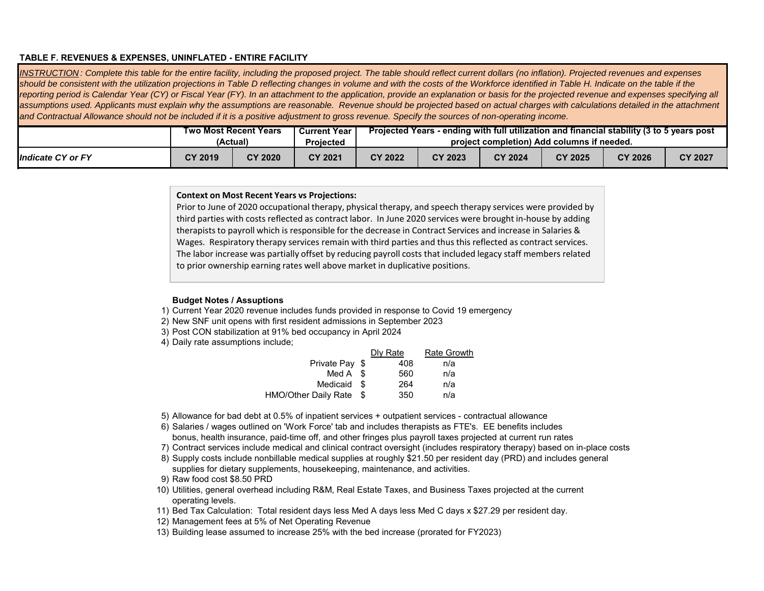#### **TABLE F. REVENUES & EXPENSES, UNINFLATED - ENTIRE FACILITY**

*INSTRUCTION : Complete this table for the entire facility, including the proposed project. The table should reflect current dollars (no inflation). Projected revenues and expenses*  should be consistent with the utilization projections in Table D reflecting changes in volume and with the costs of the Workforce identified in Table H. Indicate on the table if the reporting period is Calendar Year (CY) or Fiscal Year (FY). In an attachment to the application, provide an explanation or basis for the projected revenue and expenses specifying all assumptions used. Applicants must explain why the assumptions are reasonable. Revenue should be projected based on actual charges with calculations detailed in the attachment *and Contractual Allowance should not be included if it is a positive adjustment to gross revenue. Specify the sources of non-operating income.* 

|                          |         | Two Most Recent Years | <b>Current Year</b> | Projected Years - ending with full utilization and financial stability (3 to 5 years post |                                            |                |         |         |                |  |  |  |  |  |
|--------------------------|---------|-----------------------|---------------------|-------------------------------------------------------------------------------------------|--------------------------------------------|----------------|---------|---------|----------------|--|--|--|--|--|
|                          |         | (Actual)              | Proiected           |                                                                                           | project completion) Add columns if needed. |                |         |         |                |  |  |  |  |  |
| <b>Indicate CY or FY</b> | CY 2019 | CY 2020               | CY 2021             | CY 2022                                                                                   | CY 2023                                    | <b>CY 2024</b> | CY 2025 | CY 2026 | <b>CY 2027</b> |  |  |  |  |  |

#### **Context on Most Recent Years vs Projections:**

Prior to June of 2020 occupational therapy, physical therapy, and speech therapy services were provided by third parties with costs reflected as contract labor. In June 2020 services were brought in‐house by adding therapists to payroll which is responsible for the decrease in Contract Services and increase in Salaries & Wages. Respiratory therapy services remain with third parties and thus this reflected as contract services. The labor increase was partially offset by reducing payroll costs that included legacy staff members related to prior ownership earning rates well above market in duplicative positions.

#### **Budget Notes / Assuptions**

- 1) Current Year 2020 revenue includes funds provided in response to Covid 19 emergency
- 2) New SNF unit opens with first resident admissions in September 2023
- 3) Post CON stabilization at 91% bed occupancy in April 2024
- 4) Daily rate assumptions include;

|                      |      | Dly Rate | <b>Rate Growth</b> |
|----------------------|------|----------|--------------------|
| Private Pay \$       |      | 408      | n/a                |
| Med A \$             |      | 560      | n/a                |
| Medicaid \$          |      | 264      | n/a                |
| HMO/Other Daily Rate | - \$ | 350      | n/a                |
|                      |      |          |                    |

- 5) Allowance for bad debt at 0.5% of inpatient services + outpatient services contractual allowance
- 6) Salaries / wages outlined on 'Work Force' tab and includes therapists as FTE's. EE benefits includes bonus, health insurance, paid-time off, and other fringes plus payroll taxes projected at current run rates
- 7) Contract services include medical and clinical contract oversight (includes respiratory therapy) based on in-place costs
- 8) Supply costs include nonbillable medical supplies at roughly \$21.50 per resident day (PRD) and includes general supplies for dietary supplements, housekeeping, maintenance, and activities.
- 9) Raw food cost \$8.50 PRD
- 10) Utilities, general overhead including R&M, Real Estate Taxes, and Business Taxes projected at the current operating levels.
- 11) Bed Tax Calculation: Total resident days less Med A days less Med C days x \$27.29 per resident day.
- 12) Management fees at 5% of Net Operating Revenue
- 13) Building lease assumed to increase 25% with the bed increase (prorated for FY2023)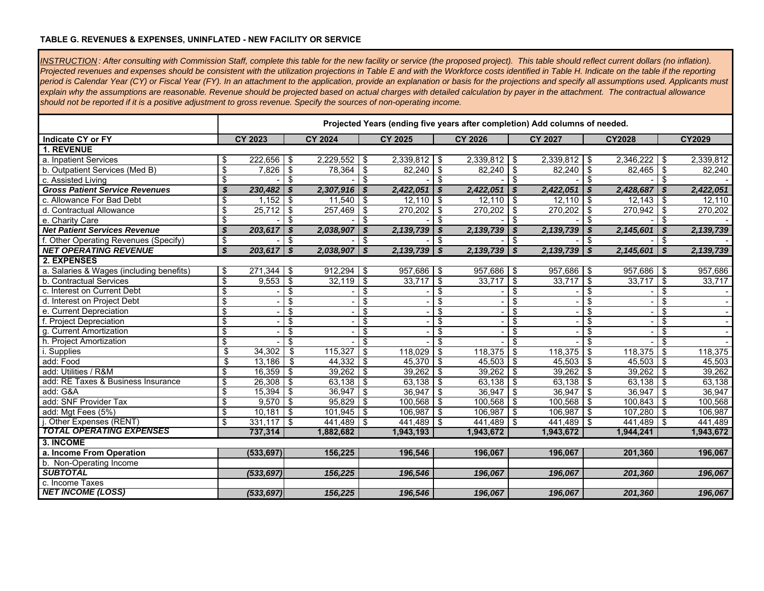#### **TABLE G. REVENUES & EXPENSES, UNINFLATED - NEW FACILITY OR SERVICE**

*INSTRUCTION : After consulting with Commission Staff, complete this table for the new facility or service (the proposed project). This table should reflect current dollars (no inflation).*  Projected revenues and expenses should be consistent with the utilization projections in Table E and with the Workforce costs identified in Table H. Indicate on the table if the reporting *period is Calendar Year (CY) or Fiscal Year (FY). In an attachment to the application, provide an explanation or basis for the projections and specify all assumptions used. Applicants must explain why the assumptions are reasonable. Revenue should be projected based on actual charges with detailed calculation by payer in the attachment. The contractual allowance should not be reported if it is a positive adjustment to gross revenue. Specify the sources of non-operating income.* 

|                                          |                          | Projected Years (ending five years after completion) Add columns of needed. |                           |                |                         |                |                           |                     |                         |                |                                  |                |                                  |           |
|------------------------------------------|--------------------------|-----------------------------------------------------------------------------|---------------------------|----------------|-------------------------|----------------|---------------------------|---------------------|-------------------------|----------------|----------------------------------|----------------|----------------------------------|-----------|
| <b>Indicate CY or FY</b>                 |                          | <b>CY 2023</b>                                                              |                           | <b>CY 2024</b> |                         | <b>CY 2025</b> |                           | <b>CY 2026</b>      |                         | <b>CY 2027</b> |                                  | <b>CY2028</b>  |                                  | CY2029    |
| <b>1. REVENUE</b>                        |                          |                                                                             |                           |                |                         |                |                           |                     |                         |                |                                  |                |                                  |           |
| a. Inpatient Services                    | \$                       | $222,656$ \$                                                                |                           | 2,229,552      | \$                      | $2,339,812$ \$ |                           | 2,339,812           | \$                      | $2,339,812$ \$ |                                  | $2,346,222$ \$ |                                  | 2,339,812 |
| b. Outpatient Services (Med B)           | \$                       | 7,826                                                                       | \$                        | 78,364         | \$                      | $82,240$ \$    |                           | 82,240              | \$                      | 82,240         | \$                               | 82,465         | \$                               | 82,240    |
| c. Assisted Living                       | \$                       |                                                                             | \$                        |                | \$                      |                | \$                        |                     | \$                      |                | \$                               |                | \$                               |           |
| <b>Gross Patient Service Revenues</b>    | \$                       | 230,482                                                                     | \$                        | 2,307,916      | \$                      | 2,422,051      | $\boldsymbol{\mathsf{s}}$ | 2,422,051           | \$                      | 2,422,051      | \$                               | 2,428,687      | $\boldsymbol{s}$                 | 2,422,051 |
| c. Allowance For Bad Debt                | \$                       | 1,152                                                                       | \$                        | 11,540         | \$                      | $12,110$ \ \$  |                           | $\overline{12,110}$ | \$                      | 12,110         | -\$                              | 12,143         | -\$                              | 12,110    |
| d. Contractual Allowance                 | \$                       | $25,712$ \$                                                                 |                           | 257,469        | \$                      | $270,202$ \$   |                           | 270,202             | \$                      | 270,202        | -\$                              | $270,942$ \$   |                                  | 270,202   |
| e. Charity Care                          | \$                       |                                                                             | \$                        |                | \$                      |                | \$                        |                     | \$                      |                | \$                               |                | \$                               |           |
| <b>Net Patient Services Revenue</b>      | \$                       | 203,617                                                                     | $\boldsymbol{s}$          | 2,038,907      | $\boldsymbol{s}$        | 2,139,739      | $\boldsymbol{s}$          | 2,139,739           | - \$                    | 2,139,739      | \$                               | 2,145,601      | \$                               | 2,139,739 |
| f. Other Operating Revenues (Specify)    | \$                       |                                                                             | \$                        |                | \$                      |                | \$                        |                     | \$                      |                | \$                               |                | \$                               |           |
| <b>NET OPERATING REVENUE</b>             | \$                       | 203,617                                                                     | $\boldsymbol{\mathsf{s}}$ | 2,038,907      | $\boldsymbol{s}$        | $2,139,739$ \$ |                           | $2,139,739$ \$      |                         | 2,139,739      | $\mathbf{s}$                     | 2,145,601      | - \$                             | 2,139,739 |
| 2. EXPENSES                              |                          |                                                                             |                           |                |                         |                |                           |                     |                         |                |                                  |                |                                  |           |
| a. Salaries & Wages (including benefits) | \$                       | 271.344                                                                     | \$                        | 912.294        | \$                      | 957,686 \$     |                           | 957,686             | \$                      | 957,686        | -\$                              | 957,686 \$     |                                  | 957,686   |
| b. Contractual Services                  | $\overline{\mathcal{S}}$ | 9,553                                                                       | $\overline{\mathcal{S}}$  | 32,119         | $\overline{\mathbf{s}}$ | 33,717         | \$                        | 33,717              | \$                      | 33,717         | \$                               | 33,717         | -\$                              | 33,717    |
| c. Interest on Current Debt              | \$                       |                                                                             | \$                        |                | \$                      |                | \$                        |                     | \$                      |                | \$                               |                | \$                               |           |
| d. Interest on Project Debt              | \$                       |                                                                             | \$                        |                | \$                      |                | \$                        |                     | \$                      |                | \$                               |                | \$                               |           |
| e. Current Depreciation                  | \$                       |                                                                             | \$                        |                | \$                      |                | \$                        |                     | \$                      |                | \$                               |                | \$                               |           |
| f. Project Depreciation                  | \$                       |                                                                             | \$                        |                | \$                      |                | \$                        |                     | \$                      |                | \$                               |                | \$                               |           |
| g. Current Amortization                  | \$                       |                                                                             | \$                        |                | \$                      |                | \$                        |                     | \$                      |                | \$                               |                | \$                               |           |
| h. Project Amortization                  | \$                       |                                                                             | \$                        |                | \$                      |                | \$                        |                     | \$                      |                | \$                               |                | \$                               |           |
| i. Supplies                              | \$                       | 34,302                                                                      | \$                        | 115,327        | \$                      | 118,029        | $\overline{\$}$           | 118,375             | $\overline{\$}$         | 118,375        | \$                               | 118,375        | \$                               | 118,375   |
| add: Food                                | \$                       | 13,186                                                                      | \$                        | 44,332         | \$                      | 45,370         | \$                        | 45,503              | \$                      | 45,503         | -\$                              | 45,503         | -\$                              | 45,503    |
| add: Utilities / R&M                     | \$                       | 16,359                                                                      | $\overline{\mathcal{S}}$  | 39,262         | $\overline{\$}$         | 39,262         | $\bullet$                 | 39,262              | $\overline{\$}$         | 39,262         | $\overline{\boldsymbol{\theta}}$ | 39,262         | $\overline{\boldsymbol{\theta}}$ | 39,262    |
| add: RE Taxes & Business Insurance       | \$                       | 26,308                                                                      | \$                        | 63,138         | $\overline{\mathbf{S}}$ | 63,138         | န                         | 63,138              | $\overline{\mathbf{3}}$ | 63,138         | \$                               | 63,138         | \$                               | 63,138    |
| add: G&A                                 | \$                       | 15.394                                                                      | \$                        | 36.947         | \$                      | 36.947         | \$                        | 36.947              | \$                      | 36.947         | \$                               | 36,947         | -\$                              | 36.947    |
| add: SNF Provider Tax                    | \$                       | $9,570$ \$                                                                  |                           | 95,829         | \$                      | $100,568$ \$   |                           | 100,568             | \$                      | 100,568        | \$                               | 100,843        | -\$                              | 100,568   |
| add: Mgt Fees (5%)                       | \$                       | 10,181                                                                      | $\sqrt{3}$                | $101,945$ \$   |                         | $106,987$ \$   |                           | $106,987$ \$        |                         | 106,987        | \$                               | 107,280        | -\$                              | 106,987   |
| j. Other Expenses (RENT)                 | \$                       | $331,117$ \$                                                                |                           | 441.489 \$     |                         | 441,489 \$     |                           | 441,489 \$          |                         | 441,489        | l \$                             | 441,489 \$     |                                  | 441.489   |
| <b>TOTAL OPERATING EXPENSES</b>          |                          | 737,314                                                                     |                           | 1,882,682      |                         | 1,943,193      |                           | 1,943,672           |                         | 1,943,672      |                                  | 1,944,241      |                                  | 1,943,672 |
| 3. INCOME                                |                          |                                                                             |                           |                |                         |                |                           |                     |                         |                |                                  |                |                                  |           |
| a. Income From Operation                 |                          | (533, 697)                                                                  |                           | 156,225        |                         | 196,546        |                           | 196,067             |                         | 196,067        |                                  | 201,360        |                                  | 196,067   |
| b. Non-Operating Income                  |                          |                                                                             |                           |                |                         |                |                           |                     |                         |                |                                  |                |                                  |           |
| <b>SUBTOTAL</b>                          |                          | (533, 697)                                                                  |                           | 156,225        |                         | 196,546        |                           | 196,067             |                         | 196,067        |                                  | 201,360        |                                  | 196,067   |
| c. Income Taxes                          |                          |                                                                             |                           |                |                         |                |                           |                     |                         |                |                                  |                |                                  |           |
| <b>NET INCOME (LOSS)</b>                 |                          | (533, 697)                                                                  |                           | 156,225        |                         | 196,546        |                           | 196,067             |                         | 196,067        |                                  | 201,360        |                                  | 196,067   |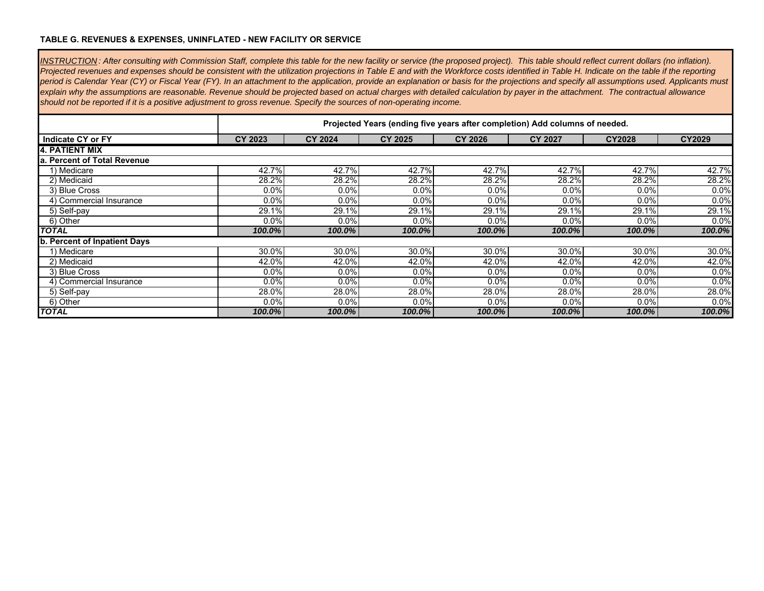### **TABLE G. REVENUES & EXPENSES, UNINFLATED - NEW FACILITY OR SERVICE**

 $\blacksquare$ 

| INSTRUCTION: After consulting with Commission Staff, complete this table for the new facility or service (the proposed project). This table should reflect current dollars (no inflation).<br>Projected revenues and expenses should be consistent with the utilization projections in Table E and with the Workforce costs identified in Table H. Indicate on the table if the reporting |         |                |                |                                                                             |                |               |        |  |  |  |  |  |
|-------------------------------------------------------------------------------------------------------------------------------------------------------------------------------------------------------------------------------------------------------------------------------------------------------------------------------------------------------------------------------------------|---------|----------------|----------------|-----------------------------------------------------------------------------|----------------|---------------|--------|--|--|--|--|--|
| period is Calendar Year (CY) or Fiscal Year (FY). In an attachment to the application, provide an explanation or basis for the projections and specify all assumptions used. Applicants must                                                                                                                                                                                              |         |                |                |                                                                             |                |               |        |  |  |  |  |  |
| explain why the assumptions are reasonable. Revenue should be projected based on actual charges with detailed calculation by payer in the attachment. The contractual allowance                                                                                                                                                                                                           |         |                |                |                                                                             |                |               |        |  |  |  |  |  |
| should not be reported if it is a positive adjustment to gross revenue. Specify the sources of non-operating income.                                                                                                                                                                                                                                                                      |         |                |                |                                                                             |                |               |        |  |  |  |  |  |
|                                                                                                                                                                                                                                                                                                                                                                                           |         |                |                |                                                                             |                |               |        |  |  |  |  |  |
|                                                                                                                                                                                                                                                                                                                                                                                           |         |                |                | Projected Years (ending five years after completion) Add columns of needed. |                |               |        |  |  |  |  |  |
| Indicate CY or FY                                                                                                                                                                                                                                                                                                                                                                         | CY 2023 | <b>CY 2024</b> | <b>CY 2025</b> | <b>CY 2026</b>                                                              | <b>CY 2027</b> | <b>CY2028</b> | CY2029 |  |  |  |  |  |
| 14. PATIENT MIX                                                                                                                                                                                                                                                                                                                                                                           |         |                |                |                                                                             |                |               |        |  |  |  |  |  |
| a. Percent of Total Revenue                                                                                                                                                                                                                                                                                                                                                               |         |                |                |                                                                             |                |               |        |  |  |  |  |  |
| 1) Medicare                                                                                                                                                                                                                                                                                                                                                                               | 42.7%   | 42.7%          | 42.7%          | 42.7%                                                                       | 42.7%          | 42.7%         | 42.7%  |  |  |  |  |  |
| 2) Medicaid                                                                                                                                                                                                                                                                                                                                                                               | 28.2%   | 28.2%          | 28.2%          | 28.2%                                                                       | 28.2%          | 28.2%         | 28.2%  |  |  |  |  |  |
| 3) Blue Cross                                                                                                                                                                                                                                                                                                                                                                             | 0.0%    | 0.0%           | 0.0%           | 0.0%                                                                        | 0.0%           | 0.0%          | 0.0%   |  |  |  |  |  |
| 4) Commercial Insurance                                                                                                                                                                                                                                                                                                                                                                   | 0.0%    | 0.0%           | 0.0%           | 0.0%                                                                        | 0.0%           | 0.0%          | 0.0%   |  |  |  |  |  |
| 5) Self-pay                                                                                                                                                                                                                                                                                                                                                                               | 29.1%   | 29.1%          | 29.1%          | 29.1%                                                                       | 29.1%          | 29.1%         | 29.1%  |  |  |  |  |  |
| 6) Other                                                                                                                                                                                                                                                                                                                                                                                  | 0.0%    | 0.0%           | 0.0%           | 0.0%                                                                        | $0.0\%$        | 0.0%          | 0.0%   |  |  |  |  |  |
| <b>TOTAL</b>                                                                                                                                                                                                                                                                                                                                                                              | 100.0%  | 100.0%         | 100.0%         | $100.0\%$                                                                   | 100.0%         | 100.0%        | 100.0% |  |  |  |  |  |
| b. Percent of Inpatient Days                                                                                                                                                                                                                                                                                                                                                              |         |                |                |                                                                             |                |               |        |  |  |  |  |  |
| 1) Medicare                                                                                                                                                                                                                                                                                                                                                                               | 30.0%   | 30.0%          | 30.0%          | 30.0%                                                                       | 30.0%          | 30.0%         | 30.0%  |  |  |  |  |  |
| 2) Medicaid                                                                                                                                                                                                                                                                                                                                                                               | 42.0%   | 42.0%          | 42.0%          | 42.0%                                                                       | 42.0%          | 42.0%         | 42.0%  |  |  |  |  |  |
| 3) Blue Cross                                                                                                                                                                                                                                                                                                                                                                             | 0.0%    | 0.0%           | 0.0%           | 0.0%                                                                        | $0.0\%$        | 0.0%          | 0.0%   |  |  |  |  |  |
| 4) Commercial Insurance                                                                                                                                                                                                                                                                                                                                                                   | 0.0%    | 0.0%           | 0.0%           | 0.0%                                                                        | 0.0%           | 0.0%          | 0.0%   |  |  |  |  |  |
| 5) Self-pay                                                                                                                                                                                                                                                                                                                                                                               | 28.0%   | 28.0%          | 28.0%          | 28.0%                                                                       | 28.0%          | 28.0%         | 28.0%  |  |  |  |  |  |
| 6) Other                                                                                                                                                                                                                                                                                                                                                                                  | 0.0%    | 0.0%           | 0.0%           | 0.0%                                                                        | 0.0%           | 0.0%          | 0.0%   |  |  |  |  |  |
| <b>TOTAL</b>                                                                                                                                                                                                                                                                                                                                                                              | 100.0%  | $100.0\%$      | 100.0%         | 100.0%                                                                      | 100.0%         | 100.0%        | 100.0% |  |  |  |  |  |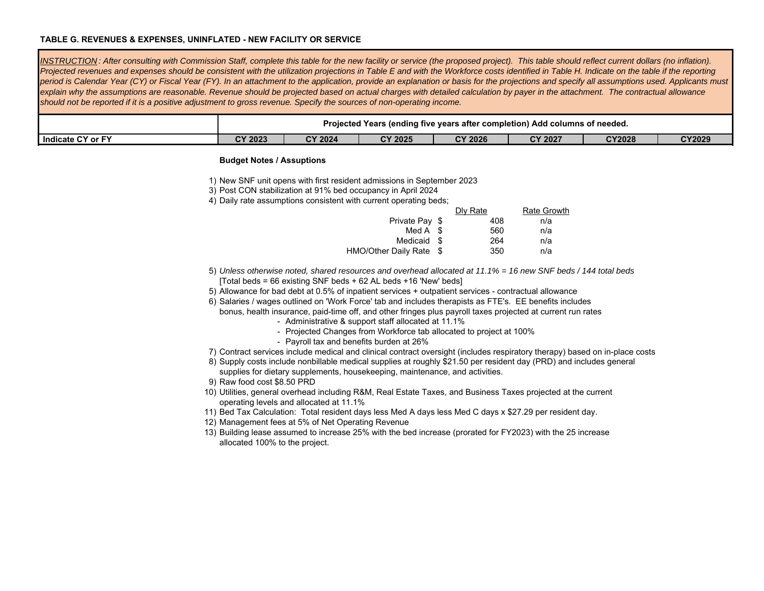#### **TABLE G. REVENUES & EXPENSES, UNINFLATED - NEW FACILITY OR SERVICE**

*INSTRUCTION : After consulting with Commission Staff, complete this table for the new facility or service (the proposed project). This table should reflect current dollars (no inflation).*  Projected revenues and expenses should be consistent with the utilization projections in Table E and with the Workforce costs identified in Table H. Indicate on the table if the reporting *period is Calendar Year (CY) or Fiscal Year (FY). In an attachment to the application, provide an explanation or basis for the projections and specify all assumptions used. Applicants must explain why the assumptions are reasonable. Revenue should be projected based on actual charges with detailed calculation by payer in the attachment. The contractual allowance should not be reported if it is a positive adjustment to gross revenue. Specify the sources of non-operating income.* 

|                     |         | Projected Years | endina five) د | ו five vears after completion) Add columns of needed. |                |               |               |
|---------------------|---------|-----------------|----------------|-------------------------------------------------------|----------------|---------------|---------------|
| I Indicate CY or FY | CY 2023 | <b>CY 2024</b>  | <b>CY 2025</b> | <b>CY 2026</b>                                        | <b>CY 2027</b> | <b>CY2028</b> | <b>CY2029</b> |

#### **Budget Notes / Assuptions**

- 3) Post CON stabilization at 91% bed occupancy in April 2024
- 4) Daily rate assumptions consistent with current operating beds;

|                         | Dly Rate | <b>Rate Growth</b> |
|-------------------------|----------|--------------------|
| Private Pay \$          | 408      | n/a                |
| Med $A \$               | 560      | n/a                |
| Medicaid \$             | 264      | n/a                |
| HMO/Other Daily Rate \$ | 350      | n/a                |

- 5) *Unless otherwise noted, shared resources and overhead allocated at 11.1% = 16 new SNF beds / 144 total beds*  [Total beds = 66 existing SNF beds + 62 AL beds +16 'New' beds]
- 5) Allowance for bad debt at 0.5% of inpatient services + outpatient services contractual allowance
- 6) Salaries / wages outlined on 'Work Force' tab and includes therapists as FTE's. EE benefits includes

bonus, health insurance, paid-time off, and other fringes plus payroll taxes projected at current run rates

- Administrative & support staff allocated at 11.1%
- Projected Changes from Workforce tab allocated to project at 100%
- Payroll tax and benefits burden at 26%
- 7) Contract services include medical and clinical contract oversight (includes respiratory therapy) based on in-place costs
- 8) Supply costs include nonbillable medical supplies at roughly \$21.50 per resident day (PRD) and includes general supplies for dietary supplements, housekeeping, maintenance, and activities.
- 9) Raw food cost \$8.50 PRD
- 10) Utilities, general overhead including R&M, Real Estate Taxes, and Business Taxes projected at the current operating levels and allocated at 11.1%
- 11) Bed Tax Calculation: Total resident days less Med A days less Med C days x \$27.29 per resident day.
- 12) Management fees at 5% of Net Operating Revenue
- 13) Building lease assumed to increase 25% with the bed increase (prorated for FY2023) with the 25 increase allocated 100% to the project.

<sup>1)</sup> New SNF unit opens with first resident admissions in September 2023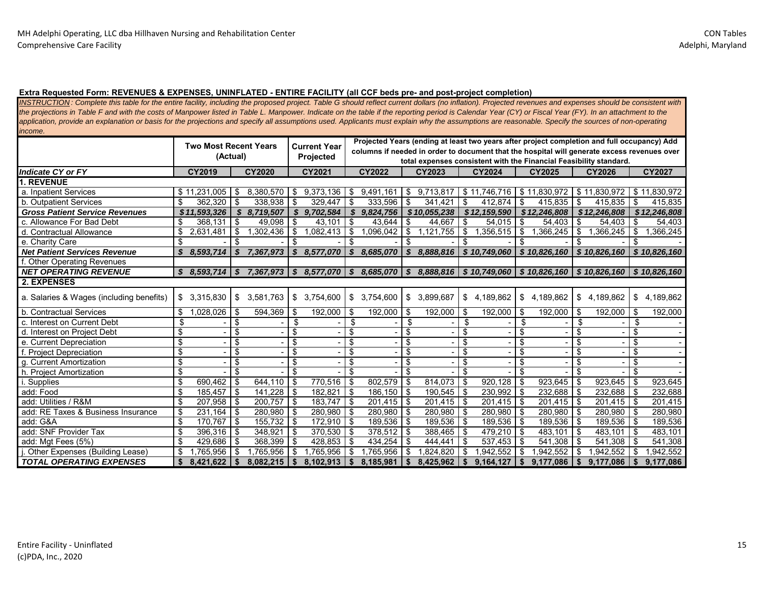#### **Extra Requested Form: REVENUES & EXPENSES, UNINFLATED - ENTIRE FACILITY (all CCF beds pre- and post-project completion)**

*INSTRUCTION : Complete this table for the entire facility, including the proposed project. Table G should reflect current dollars (no inflation). Projected revenues and expenses should be consistent with the projections in Table F and with the costs of Manpower listed in Table L. Manpower. Indicate on the table if the reporting period is Calendar Year (CY) or Fiscal Year (FY). In an attachment to the*  application, provide an explanation or basis for the projections and specify all assumptions used. Applicants must explain why the assumptions are reasonable. Specify the sources of non-operating *income.* 

|                                          | <b>Two Most Recent Years</b> |                 |        | <b>Current Year</b> |             |                              | Projected Years (ending at least two years after project completion and full occupancy) Add<br>columns if needed in order to document that the hospital will generate excess revenues over |                  |      |              |                |               |      |                  |             |                                                                                              |      |                |
|------------------------------------------|------------------------------|-----------------|--------|---------------------|-------------|------------------------------|--------------------------------------------------------------------------------------------------------------------------------------------------------------------------------------------|------------------|------|--------------|----------------|---------------|------|------------------|-------------|----------------------------------------------------------------------------------------------|------|----------------|
|                                          |                              | (Actual)        |        |                     |             | Projected                    |                                                                                                                                                                                            |                  |      |              |                |               |      |                  |             |                                                                                              |      |                |
|                                          |                              |                 |        |                     |             |                              |                                                                                                                                                                                            |                  |      |              |                |               |      |                  |             | total expenses consistent with the Financial Feasibility standard.                           |      |                |
| <b>Indicate CY or FY</b>                 |                              | CY2019          |        | <b>CY2020</b>       |             | CY2021                       |                                                                                                                                                                                            | <b>CY2022</b>    |      | CY2023       |                | <b>CY2024</b> |      | <b>CY2025</b>    |             | <b>CY2026</b>                                                                                |      | <b>CY2027</b>  |
| 1. REVENUE                               |                              |                 |        |                     |             |                              |                                                                                                                                                                                            |                  |      |              |                |               |      |                  |             |                                                                                              |      |                |
| a. Inpatient Services                    |                              | \$11,231,005    | \$     | 8.380.570           | \$          | 9.373.136                    | \$                                                                                                                                                                                         | 9,491,161        | \$   | 9,713,817    |                | \$11.746.716  |      | \$11.830.972     |             | \$11.830.972                                                                                 |      | \$11.830.972   |
| b. Outpatient Services                   | \$                           | $362,320$ \$    |        | 338,938 \$          |             | 329,447                      | -\$                                                                                                                                                                                        | $333,596$ \$     |      | 341,421      | \$             | 412.874       | -\$  | $415,835$ \$     |             | 415,835                                                                                      | \$   | 415,835        |
| <b>Gross Patient Service Revenues</b>    |                              | \$11,593,326    | S      | 8,719,507           |             | \$9,702,584                  | - \$                                                                                                                                                                                       | 9,824,756        |      | \$10,055,238 |                | \$12,159,590  |      | \$12,246,808     |             | \$12,246,808                                                                                 |      | \$12,246,808   |
| c. Allowance For Bad Debt                | \$                           | $368,131$ \$    |        | 49,098              | \$          | 43,101                       | -\$                                                                                                                                                                                        | 43,644           | \$   | 44,667       | \$             | 54,015        | \$   | 54,403 \$        |             | 54,403                                                                                       | \$   | 54,403         |
| d. Contractual Allowance                 |                              | 2,631,481       | $1$ \$ | 1,302,436           | -\$         | .082,413                     | \$                                                                                                                                                                                         | $1,096,042$ \$   |      | 1,121,755    | $\mathfrak{S}$ | 1,356,515     | \$   | $1,366,245$ \$   |             | .366,245                                                                                     | \$   | 1,366,245      |
| e. Charity Care                          | \$                           |                 | \$     |                     | \$          |                              | \$                                                                                                                                                                                         |                  | \$   |              | \$             |               | \$   |                  | \$          |                                                                                              | \$   |                |
| <b>Net Patient Services Revenue</b>      | \$                           | 8,593,714       | \$     | 7,367,973           |             | \$8,577,070                  | S                                                                                                                                                                                          | 8,685,070        | s.   | 8,888,816    |                | \$10,749,060  |      | \$10,826,160     |             | \$10,826,160                                                                                 |      | \$10,826,160   |
| <b>Other Operating Revenues</b>          |                              |                 |        |                     |             |                              |                                                                                                                                                                                            |                  |      |              |                |               |      |                  |             |                                                                                              |      |                |
| <b>NET OPERATING REVENUE</b>             |                              | $$8.593.714 \&$ |        |                     |             | 7,367,973   \$8,577,070   \$ |                                                                                                                                                                                            |                  |      |              |                |               |      |                  |             | $8,685,070$   \$ $8,888,816$   \$ 10,749,060   \$ 10,826,160   \$ 10,826,160   \$ 10,826,160 |      |                |
| 2. EXPENSES                              |                              |                 |        |                     |             |                              |                                                                                                                                                                                            |                  |      |              |                |               |      |                  |             |                                                                                              |      |                |
| a. Salaries & Wages (including benefits) | \$                           | 3,315,830       | \$     | 3.581.763           |             | \$3,754,600                  | \$                                                                                                                                                                                         | 3,754,600        | \$   | 3,899,687    | \$             | 4,189,862     | \$   | 4,189,862        |             | \$4,189,862                                                                                  |      | \$4,189,862    |
| b. Contractual Services                  | S.                           | $1,028,026$ \$  |        | 594,369             | - \$        | 192,000                      | -\$                                                                                                                                                                                        | $192,000$ \$     |      | 192,000      | \$             | 192,000       | - \$ | 192,000 \$       |             | 192,000                                                                                      | \$   | 192,000        |
| c. Interest on Current Debt              | \$                           |                 | \$     |                     | \$          |                              | \$                                                                                                                                                                                         |                  | \$   |              | \$             |               | \$   |                  | \$          |                                                                                              | \$   |                |
| d. Interest on Project Debt              | \$                           |                 | \$     |                     | \$          |                              | \$                                                                                                                                                                                         |                  | \$   |              | \$             |               | \$   |                  | \$          |                                                                                              | \$   |                |
| e. Current Depreciation                  | \$                           |                 | \$     |                     | \$          |                              | \$                                                                                                                                                                                         |                  | \$   |              | \$             |               | \$   |                  | \$          |                                                                                              | \$   |                |
| f. Project Depreciation                  | \$                           |                 | \$     |                     | \$          |                              | \$                                                                                                                                                                                         |                  | \$   |              | \$             |               | \$   |                  | \$          |                                                                                              | \$   |                |
| g. Current Amortization                  | \$                           |                 | \$     |                     | \$          |                              | \$                                                                                                                                                                                         |                  | \$   |              | \$             |               | \$   |                  | \$          |                                                                                              | \$   |                |
| h. Project Amortization                  | \$                           |                 | \$     |                     | \$          |                              |                                                                                                                                                                                            |                  | \$   |              | \$             |               |      |                  | -\$         |                                                                                              | \$   |                |
| Supplies                                 | \$                           | $690.462$ \ \$  |        | 644.110             | \$          | 770,516                      | -\$                                                                                                                                                                                        | 802,579 \$       |      | 814.073      | \$             | 920,128       | \$   | $923.645$ \$     |             | 923.645                                                                                      | \$   | 923.645        |
| add: Food                                | \$                           | $185,457$ \$    |        | 141,228             | $\sqrt{3}$  | 182,821                      | -\$                                                                                                                                                                                        | 186,150 \$       |      | $190,545$ \$ |                | 230,992       | -\$  | $232,688$ \$     |             | 232,688                                                                                      | \$   | 232,688        |
| add: Utilities / R&M                     | \$                           | $207,958$ \$    |        | 200,757             | - \$        | 183,747                      | -\$                                                                                                                                                                                        | $201,415$ \$     |      | 201,415      | - \$           | 201,415       | -\$  | $201,415$ \$     |             | 201,415                                                                                      | \$   | 201,415        |
| add: RE Taxes & Business Insurance       | \$                           | $231.164$ \$    |        | 280,980             | - \$        | 280,980                      | - \$                                                                                                                                                                                       | 280,980 \$       |      | 280,980      | - \$           | 280.980       |      | 280.980 \$       |             | 280.980                                                                                      | -\$  | 280,980        |
| add: G&A                                 | \$                           | 170,767 \$      |        | 155,732             | l \$        | 172,910                      | - \$                                                                                                                                                                                       | 189,536 \$       |      | 189,536      | -\$            | 189,536       | - \$ | 189,536 \$       |             | 189,536                                                                                      | -\$  | 189,536        |
| add: SNF Provider Tax                    | \$                           | $396,316$ \$    |        | 348,921             | <b>1 \$</b> | 370,530                      | -\$                                                                                                                                                                                        | $378,512$ \$     |      | 388,465 \$   |                | 479.210 \$    |      | 483,101          | <b>1</b> \$ | 483.101                                                                                      | l \$ | 483,101        |
| add: Mgt Fees (5%)                       | \$                           | 429,686 \$      |        | 368,399             | l \$        | 428,853                      | - \$                                                                                                                                                                                       | $434,254$ \$     |      | 444,441      | \$             | 537,453       | - \$ | $541,308$ \$     |             | 541,308                                                                                      | \$   | 541,308        |
| Other Expenses (Building Lease)          | \$                           | $1,765,956$ \$  |        | ,765,956            | \$          | 1,765,956                    | -\$                                                                                                                                                                                        | ,765,956         | - \$ | ,824,820     | \$             | .942.552      |      | $,942,552$ \$    |             | ,942,552                                                                                     | \$   | .942,552<br>-1 |
| <b>TOTAL OPERATING EXPENSES</b>          |                              |                 |        |                     |             | $8,102,913$   \$             |                                                                                                                                                                                            | $8,185,981$   \$ |      |              |                | 9,164,127     | \$   | $9,177,086$   \$ |             | 9,177,086                                                                                    | \$   | 9,177,086      |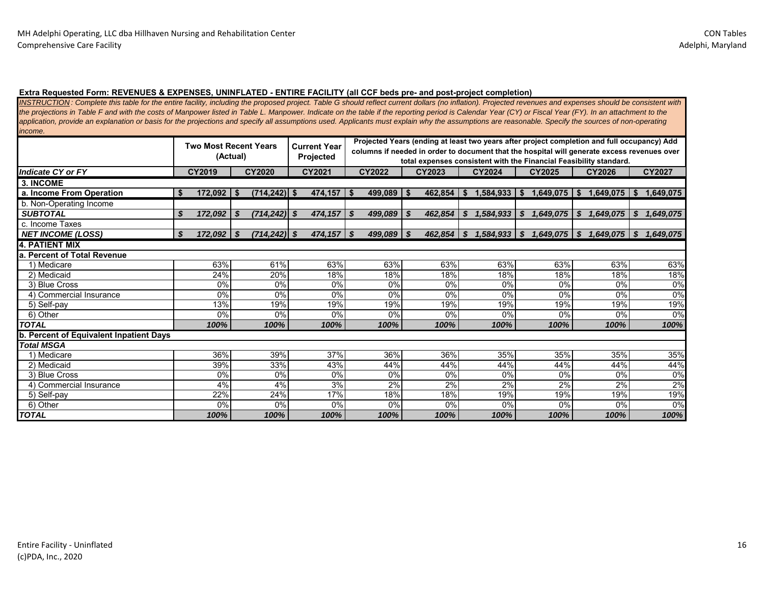#### **Extra Requested Form: REVENUES & EXPENSES, UNINFLATED - ENTIRE FACILITY (all CCF beds pre- and post-project completion)**

*INSTRUCTION : Complete this table for the entire facility, including the proposed project. Table G should reflect current dollars (no inflation). Projected revenues and expenses should be consistent with the projections in Table F and with the costs of Manpower listed in Table L. Manpower. Indicate on the table if the reporting period is Calendar Year (CY) or Fiscal Year (FY). In an attachment to the*  application, provide an explanation or basis for the projections and specify all assumptions used. Applicants must explain why the assumptions are reasonable. Specify the sources of non-operating *income.* 

|                                         |                    | <b>Two Most Recent Years</b><br>(Actual) | <b>Current Year</b><br><b>Projected</b> | Projected Years (ending at least two years after project completion and full occupancy) Add<br>columns if needed in order to document that the hospital will generate excess revenues over<br>total expenses consistent with the Financial Feasibility standard. |                 |                 |                                               |                         |                 |  |  |  |  |  |
|-----------------------------------------|--------------------|------------------------------------------|-----------------------------------------|------------------------------------------------------------------------------------------------------------------------------------------------------------------------------------------------------------------------------------------------------------------|-----------------|-----------------|-----------------------------------------------|-------------------------|-----------------|--|--|--|--|--|
| <b>Indicate CY or FY</b>                | CY2019             | CY2020                                   | CY2021                                  | CY2022                                                                                                                                                                                                                                                           | CY2023          | <b>CY2024</b>   | CY2025                                        | CY2026                  | CY2027          |  |  |  |  |  |
| 3. INCOME                               |                    |                                          |                                         |                                                                                                                                                                                                                                                                  |                 |                 |                                               |                         |                 |  |  |  |  |  |
| a. Income From Operation                | $172,092$ \$<br>Ŝ. | $(714, 242)$ \$                          | $474,157$ $\sqrt{5}$                    | $499,089$ \$                                                                                                                                                                                                                                                     | $462,854$ \ \$  | $1,584,933$ \$  | $1,649,075$   \$                              | $1,649,075$ $\sqrt{\ }$ | 1,649,075       |  |  |  |  |  |
| b. Non-Operating Income                 |                    |                                          |                                         |                                                                                                                                                                                                                                                                  |                 |                 |                                               |                         |                 |  |  |  |  |  |
| <b>SUBTOTAL</b>                         | \$<br>172,092      | $(714, 242)$ \$<br>\$                    | 474,157                                 | - \$<br>499,089                                                                                                                                                                                                                                                  | 462.854<br>- \$ | 1,584,933<br>\$ | \$<br>1,649,075                               | \$<br>,649,075          | S.<br>1,649,075 |  |  |  |  |  |
| c. Income Taxes                         |                    |                                          |                                         |                                                                                                                                                                                                                                                                  |                 |                 |                                               |                         |                 |  |  |  |  |  |
| <b>NET INCOME (LOSS)</b>                | 172,092 \$<br>\$   | $(714, 242)$ \$                          | 474,157                                 | $499,089$ \$<br>- \$                                                                                                                                                                                                                                             | $462,854$ \$    | 1,584,933       | $\mathbf{\mathfrak{s}}$<br>$1,649,075$ \ \ \$ | $1,649,075$ \$          | 1,649,075       |  |  |  |  |  |
| <b>4. PATIENT MIX</b>                   |                    |                                          |                                         |                                                                                                                                                                                                                                                                  |                 |                 |                                               |                         |                 |  |  |  |  |  |
| <b>Percent of Total Revenue</b><br>a.   |                    |                                          |                                         |                                                                                                                                                                                                                                                                  |                 |                 |                                               |                         |                 |  |  |  |  |  |
| 1) Medicare                             | 63%                | 61%                                      | 63%                                     | 63%                                                                                                                                                                                                                                                              | 63%             | 63%             | 63%                                           | 63%                     | 63%             |  |  |  |  |  |
| 2) Medicaid                             | 24%                | 20%                                      | 18%                                     | 18%                                                                                                                                                                                                                                                              | 18%             | 18%             | 18%                                           | 18%                     | 18%             |  |  |  |  |  |
| 3) Blue Cross                           | 0%                 | 0%                                       | 0%                                      | 0%                                                                                                                                                                                                                                                               | 0%              | 0%              | 0%                                            | 0%                      | 0%              |  |  |  |  |  |
| 4) Commercial Insurance                 | 0%                 | 0%                                       | 0%                                      | 0%                                                                                                                                                                                                                                                               | 0%              | 0%              | 0%                                            | 0%                      | 0%              |  |  |  |  |  |
| 5) Self-pay                             | 13%                | 19%                                      | 19%                                     | 19%                                                                                                                                                                                                                                                              | 19%             | 19%             | 19%                                           | 19%                     | 19%             |  |  |  |  |  |
| 6) Other                                | 0%                 | 0%                                       | 0%                                      | 0%                                                                                                                                                                                                                                                               | 0%              | 0%              | 0%                                            | 0%                      | 0%              |  |  |  |  |  |
| <b>TOTAL</b>                            | 100%               | 100%                                     | 100%                                    | 100%                                                                                                                                                                                                                                                             | 100%            | 100%            | 100%                                          | 100%                    | 100%            |  |  |  |  |  |
| b. Percent of Equivalent Inpatient Days |                    |                                          |                                         |                                                                                                                                                                                                                                                                  |                 |                 |                                               |                         |                 |  |  |  |  |  |
| <b>Total MSGA</b>                       |                    |                                          |                                         |                                                                                                                                                                                                                                                                  |                 |                 |                                               |                         |                 |  |  |  |  |  |
| 1) Medicare                             | 36%                | 39%                                      | 37%                                     | 36%                                                                                                                                                                                                                                                              | 36%             | 35%             | 35%                                           | 35%                     | 35%             |  |  |  |  |  |
| 2) Medicaid                             | 39%                | 33%                                      | 43%                                     | 44%                                                                                                                                                                                                                                                              | 44%             | 44%             | 44%                                           | 44%                     | 44%             |  |  |  |  |  |
| 3) Blue Cross                           | 0%                 | 0%                                       | 0%                                      | 0%                                                                                                                                                                                                                                                               | 0%              | 0%              | 0%                                            | 0%                      | 0%              |  |  |  |  |  |
| 4) Commercial Insurance                 | 4%                 | 4%                                       | 3%                                      | 2%                                                                                                                                                                                                                                                               | 2%              | 2%              | 2%                                            | 2%                      | 2%              |  |  |  |  |  |
| 5) Self-pay                             | 22%                | 24%                                      | 17%                                     | 18%                                                                                                                                                                                                                                                              | 18%             | 19%             | 19%                                           | 19%                     | 19%             |  |  |  |  |  |
| 6) Other                                | 0%                 | 0%                                       | 0%                                      |                                                                                                                                                                                                                                                                  | 0%<br>0%<br>0%  |                 | $0\%$                                         | $0\%$                   | $0\%$           |  |  |  |  |  |
| <b>TOTAL</b>                            | 100%               | 100%                                     | 100%                                    | 100%                                                                                                                                                                                                                                                             | 100%            | 100%            | 100%                                          | 100%                    | 100%            |  |  |  |  |  |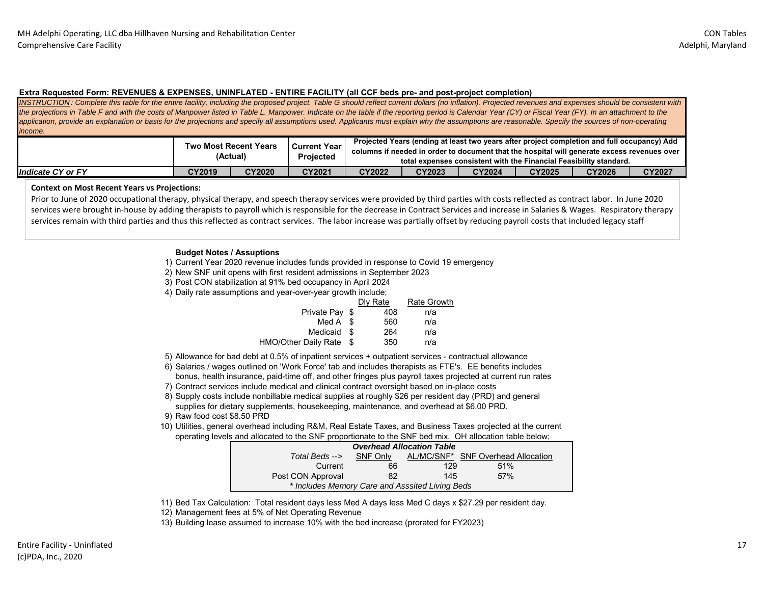#### **Extra Requested Form: REVENUES & EXPENSES, UNINFLATED - ENTIRE FACILITY (all CCF beds pre- and post-project completion)**

*INSTRUCTION : Complete this table for the entire facility, including the proposed project. Table G should reflect current dollars (no inflation). Projected revenues and expenses should be consistent with the projections in Table F and with the costs of Manpower listed in Table L. Manpower. Indicate on the table if the reporting period is Calendar Year (CY) or Fiscal Year (FY). In an attachment to the* application, provide an explanation or basis for the projections and specify all assumptions used. Applicants must explain why the assumptions are reasonable. Specify the sources of non-operating *income.* 

|                          |               | <b>Two Most Recent Years</b><br>(Actual) | <b>Current Year</b><br>Projected |        | Projected Years (ending at least two years after project completion and full occupancy) Add<br>columns if needed in order to document that the hospital will generate excess revenues over<br>total expenses consistent with the Financial Feasibility standard. |               |               |               |        |
|--------------------------|---------------|------------------------------------------|----------------------------------|--------|------------------------------------------------------------------------------------------------------------------------------------------------------------------------------------------------------------------------------------------------------------------|---------------|---------------|---------------|--------|
| <b>Indicate CY or FY</b> | <b>CY2019</b> | <b>CY2020</b>                            | CY2021                           | CY2022 | <b>CY2023</b>                                                                                                                                                                                                                                                    | <b>CY2024</b> | <b>CY2025</b> | <b>CY2026</b> | CY2027 |

#### **Context on Most Recent Years vs Projections:**

Prior to June of 2020 occupational therapy, physical therapy, and speech therapy services were provided by third parties with costs reflected as contract labor. In June 2020 services were brought in-house by adding therapists to payroll which is responsible for the decrease in Contract Services and increase in Salaries & Wages. Respiratory therapy services remain with third parties and thus this reflected as contract services. The labor increase was partially offset by reducing payroll costs that included legacy staff

#### **Budget Notes / Assuptions**

1) Current Year 2020 revenue includes funds provided in response to Covid 19 emergency

2) New SNF unit opens with first resident admissions in September 2023

3) Post CON stabilization at 91% bed occupancy in April 2024

4) Daily rate assumptions and year-over-year growth include;

|                      |      | Dly Rate | <b>Rate Growth</b> |
|----------------------|------|----------|--------------------|
| Private Pay \$       |      | 408      | n/a                |
| Med $A \$            |      | 560      | n/a                |
| Medicaid \$          |      | 264      | n/a                |
| HMO/Other Daily Rate | - \$ | 350      | n/a                |
|                      |      |          |                    |

5) Allowance for bad debt at 0.5% of inpatient services + outpatient services - contractual allowance

- 6) Salaries / wages outlined on 'Work Force' tab and includes therapists as FTE's. EE benefits includes bonus, health insurance, paid-time off, and other fringes plus payroll taxes projected at current run rates
- 7) Contract services include medical and clinical contract oversight based on in-place costs
- 8) Supply costs include nonbillable medical supplies at roughly \$26 per resident day (PRD) and general supplies for dietary supplements, housekeeping, maintenance, and overhead at \$6.00 PRD.
- 9) Raw food cost \$8.50 PRD
- 10) Utilities, general overhead including R&M, Real Estate Taxes, and Business Taxes projected at the current operating levels and allocated to the SNF proportionate to the SNF bed mix. OH allocation table below;

|                                                 |          | <b>Overhead Allocation Table</b> |                                    |
|-------------------------------------------------|----------|----------------------------------|------------------------------------|
| Total Beds -->                                  | SNF Only |                                  | AL/MC/SNF* SNF Overhead Allocation |
| Current                                         | 66       | 129                              | 51%                                |
| Post CON Approval                               | 82       | 145                              | 57%                                |
| * Includes Memory Care and Asssited Living Beds |          |                                  |                                    |

11) Bed Tax Calculation: Total resident days less Med A days less Med C days x \$27.29 per resident day.

12) Management fees at 5% of Net Operating Revenue

13) Building lease assumed to increase 10% with the bed increase (prorated for FY2023)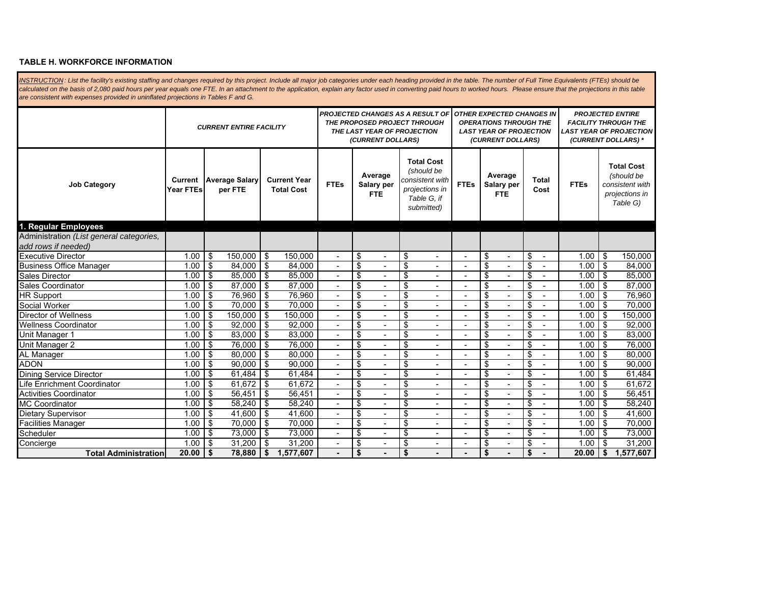#### **TABLE H. WORKFORCE INFORMATION**

INSTRUCTION: List the facility's existing staffing and changes required by this project. Include all major job categories under each heading provided in the table. The number of Full Time Equivalents (FTEs) should be calculated on the basis of 2,080 paid hours per year equals one FTE. In an attachment to the application, explain any factor used in converting paid hours to worked hours. Please ensure that the projections in this table *are consistent with expenses provided in uninflated projections in Tables F and G.* 

|                                                                 | <b>CURRENT ENTIRE FACILITY</b> |                   |                                  |                 |                                          |                          |                         | THE LAST YEAR OF PROJECTION<br>(CURRENT DOLLARS) |                                  | <b>PROJECTED CHANGES AS A RESULT OF</b><br>THE PROPOSED PROJECT THROUGH                           |                          |                         | <b>OTHER EXPECTED CHANGES IN</b><br><b>OPERATIONS THROUGH THE</b><br><b>LAST YEAR OF PROJECTION</b><br>(CURRENT DOLLARS) |    | <b>PROJECTED ENTIRE</b><br><b>FACILITY THROUGH THE</b><br><b>LAST YEAR OF PROJECTION</b><br>(CURRENT DOLLARS) * |             |     |                                                                                  |
|-----------------------------------------------------------------|--------------------------------|-------------------|----------------------------------|-----------------|------------------------------------------|--------------------------|-------------------------|--------------------------------------------------|----------------------------------|---------------------------------------------------------------------------------------------------|--------------------------|-------------------------|--------------------------------------------------------------------------------------------------------------------------|----|-----------------------------------------------------------------------------------------------------------------|-------------|-----|----------------------------------------------------------------------------------|
| <b>Job Category</b>                                             | Current<br>Year FTEs           |                   | <b>Average Salary</b><br>per FTE |                 | <b>Current Year</b><br><b>Total Cost</b> | <b>FTEs</b>              |                         | Average<br>Salary per<br><b>FTE</b>              |                                  | <b>Total Cost</b><br>(should be<br>consistent with<br>projections in<br>Table G, if<br>submitted) | <b>FTEs</b>              |                         | Average<br>Salary per<br><b>FTE</b>                                                                                      |    | Total<br>Cost                                                                                                   | <b>FTEs</b> |     | <b>Total Cost</b><br>(should be<br>consistent with<br>projections in<br>Table G) |
| 1. Regular Employees                                            |                                |                   |                                  |                 |                                          |                          |                         |                                                  |                                  |                                                                                                   |                          |                         |                                                                                                                          |    |                                                                                                                 |             |     |                                                                                  |
| Administration (List general categories,<br>add rows if needed) |                                |                   |                                  |                 |                                          |                          |                         |                                                  |                                  |                                                                                                   |                          |                         |                                                                                                                          |    |                                                                                                                 |             |     |                                                                                  |
| <b>Executive Director</b>                                       | 1.00                           | $\overline{1}$ \$ | 150.000                          | -\$             | 150.000                                  |                          | \$                      | $\blacksquare$                                   | \$                               | $\overline{\phantom{a}}$                                                                          | ÷,                       | \$                      | $\blacksquare$                                                                                                           | \$ | $\overline{\phantom{a}}$                                                                                        | 1.00        | \$  | 150,000                                                                          |
| <b>Business Office Manager</b>                                  | 1.00                           | \$                | 84.000                           | \$              | 84.000                                   |                          | $\overline{\mathbb{S}}$ |                                                  | $\overline{\mathcal{S}}$         |                                                                                                   |                          | \$                      |                                                                                                                          | \$ |                                                                                                                 | 1.00        | \$  | 84.000                                                                           |
| Sales Director                                                  | 1.00                           | \$                | 85,000                           | \$              | 85,000                                   |                          | \$                      |                                                  | \$                               |                                                                                                   |                          | \$                      |                                                                                                                          | \$ |                                                                                                                 | 1.00        | \$  | 85,000                                                                           |
| Sales Coordinator                                               | 1.00                           | \$                | 87.000                           | \$              | 87,000                                   |                          | \$                      |                                                  | \$                               |                                                                                                   |                          | \$                      |                                                                                                                          | \$ |                                                                                                                 | 1.00        | \$  | 87,000                                                                           |
| HR Support                                                      | 1.00                           | \$                | 76.960                           | -\$             | 76.960                                   |                          | \$                      |                                                  | \$                               |                                                                                                   | ۰                        | \$                      |                                                                                                                          | \$ |                                                                                                                 | 1.00        | \$  | 76.960                                                                           |
| Social Worker                                                   | 1.00                           | \$                | 70.000                           | -\$             | 70.000                                   | ä,                       | \$                      | $\blacksquare$                                   | \$                               | $\sim$                                                                                            |                          | \$                      |                                                                                                                          | \$ |                                                                                                                 | 1.00        | -\$ | 70.000                                                                           |
| <b>Director of Wellness</b>                                     | 1.00                           | -\$               | 150.000                          | -\$             | 150,000                                  |                          | $\overline{\$}$         | $\blacksquare$                                   | $\overline{\mathcal{S}}$         | $\sim$                                                                                            |                          | $\overline{\mathbb{S}}$ | ÷,                                                                                                                       | \$ |                                                                                                                 | 1.00        | -\$ | 150,000                                                                          |
| <b>Wellness Coordinator</b>                                     | 1.00                           | -\$               | 92,000                           | -\$             | 92,000                                   | L,                       | \$                      | $\overline{a}$                                   | $\overline{\mathcal{S}}$         | $\sim$                                                                                            |                          | \$                      | ÷,                                                                                                                       | \$ |                                                                                                                 | 1.00        | -\$ | 92,000                                                                           |
| Unit Manager 1                                                  | 1.00                           | \$                | 83,000                           | -\$             | 83,000                                   |                          | \$                      | $\overline{a}$                                   | \$                               |                                                                                                   |                          | \$                      | ٠                                                                                                                        | \$ |                                                                                                                 | 1.00        | \$  | 83,000                                                                           |
| Unit Manager 2                                                  | 1.00                           | -\$               | 76,000                           | -\$             | 76,000                                   |                          | \$                      | $\blacksquare$                                   | \$                               | $\blacksquare$                                                                                    |                          | s,                      | $\blacksquare$                                                                                                           | \$ |                                                                                                                 | 1.00        | \$  | 76,000                                                                           |
| AL Manager                                                      | 1.00                           | \$                | 80,000                           | -\$             | 80,000                                   | ٠                        | \$                      | $\blacksquare$                                   | \$                               | $\blacksquare$                                                                                    | ۰                        | \$                      | ÷,                                                                                                                       | \$ |                                                                                                                 | 1.00        | \$  | 80,000                                                                           |
| <b>ADON</b>                                                     | 1.00                           | \$                | 90.000                           | -\$             | 90,000                                   | $\overline{\phantom{a}}$ | \$                      | $\overline{\phantom{0}}$                         | \$                               | $\overline{\phantom{a}}$                                                                          | $\overline{\phantom{a}}$ | \$                      | ٠                                                                                                                        | \$ |                                                                                                                 | 1.00        | \$  | 90,000                                                                           |
| <b>Dining Service Director</b>                                  | 1.00                           | -\$               | 61,484                           | \$              | 61,484                                   | ä,                       | \$                      |                                                  | \$                               | $\sim$                                                                                            |                          | \$                      | ٠                                                                                                                        | \$ |                                                                                                                 | 1.00        | \$  | 61,484                                                                           |
| Life Enrichment Coordinator                                     | 1.00                           | \$                | 61,672                           | $\overline{\$}$ | 61,672                                   |                          | $\overline{\$}$         |                                                  | $\overline{\$}$                  | $\overline{\phantom{a}}$                                                                          |                          | $\overline{\$}$         |                                                                                                                          | \$ |                                                                                                                 | 1.00        | \$  | 61,672                                                                           |
| <b>Activities Coordinator</b>                                   | 1.00                           | \$                | 56,451                           | \$              | 56,451                                   |                          | \$                      |                                                  | $\overline{\boldsymbol{\theta}}$ | $\sim$                                                                                            |                          | \$                      |                                                                                                                          | \$ |                                                                                                                 | 1.00        | \$  | 56,451                                                                           |
| <b>MC Coordinator</b>                                           | 1.00                           | \$                | 58,240                           | -\$             | 58,240                                   |                          | \$                      |                                                  | \$                               |                                                                                                   |                          | \$                      |                                                                                                                          | \$ |                                                                                                                 | 1.00        | \$  | 58,240                                                                           |
| Dietary Supervisor                                              | 1.00                           | \$                | 41.600                           | -\$             | 41.600                                   |                          | \$                      |                                                  | \$                               |                                                                                                   |                          | \$                      |                                                                                                                          | \$ |                                                                                                                 | 1.00        | \$  | 41.600                                                                           |
| <b>Facilities Manager</b>                                       | 1.00                           | \$                | 70.000                           | -\$             | 70.000                                   | ٠                        | \$                      | $\overline{\phantom{0}}$                         | \$                               | $\overline{\phantom{a}}$                                                                          | $\blacksquare$           | \$                      | ۰                                                                                                                        | \$ |                                                                                                                 | 1.00        | \$  | 70.000                                                                           |
| Scheduler                                                       | 1.00                           | \$                | 73.000                           | -\$             | 73.000                                   |                          | \$                      | $\blacksquare$                                   | \$                               | $\overline{\phantom{a}}$                                                                          | ÷,                       | \$                      | ٠                                                                                                                        | \$ |                                                                                                                 | 1.00        | \$  | 73.000                                                                           |
| Concierge                                                       | 1.00                           | -\$               | 31.200                           | -\$             | 31.200                                   |                          | \$                      | $\overline{a}$                                   | \$                               | $\overline{\phantom{a}}$                                                                          |                          | \$                      | ä,                                                                                                                       | \$ |                                                                                                                 | 1.00        | \$  | 31,200                                                                           |
| <b>Total Administration</b>                                     | 20.00                          | $\mathsf{I}$      | 78.880                           | \$              | 1,577,607                                |                          | \$                      |                                                  | \$                               |                                                                                                   |                          | \$                      |                                                                                                                          | \$ |                                                                                                                 | 20.00       | \$  | ,577,607<br>1                                                                    |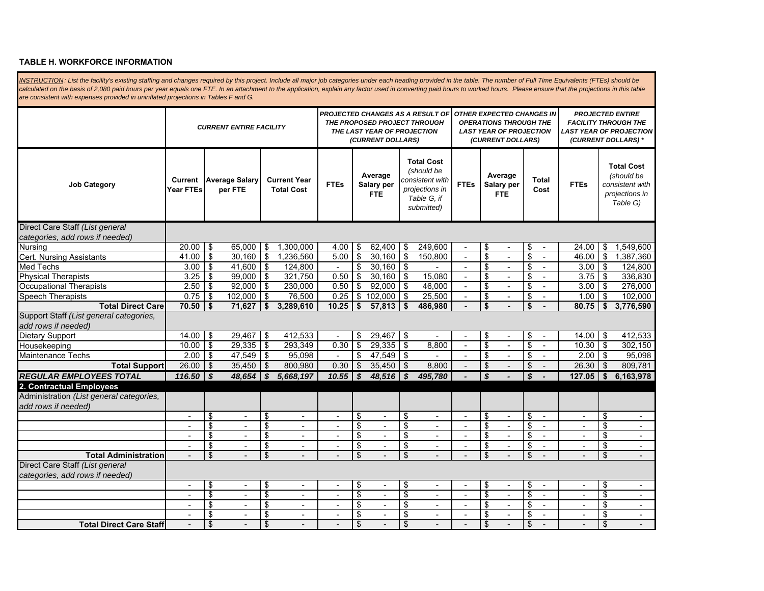#### **TABLE H. WORKFORCE INFORMATION**

INSTRUCTION: List the facility's existing staffing and changes required by this project. Include all major job categories under each heading provided in the table. The number of Full Time Equivalents (FTEs) should be calculated on the basis of 2,080 paid hours per year equals one FTE. In an attachment to the application, explain any factor used in converting paid hours to worked hours. Please ensure that the projections in this table *are consistent with expenses provided in uninflated projections in Tables F and G.* 

|                                                                    | <b>CURRENT ENTIRE FACILITY</b> |                                    |                                  |                         |                                          |                          | THE LAST YEAR OF PROJECTION<br>(CURRENT DOLLARS) |                              | <b>PROJECTED CHANGES AS A RESULT OF</b><br>THE PROPOSED PROJECT THROUGH |                                                                                                   | <b>OTHER EXPECTED CHANGES IN</b><br><b>OPERATIONS THROUGH THE</b><br><b>LAST YEAR OF PROJECTION</b><br>(CURRENT DOLLARS) |                                     |                                | <b>PROJECTED ENTIRE</b><br><b>FACILITY THROUGH THE</b><br><b>LAST YEAR OF PROJECTION</b><br>(CURRENT DOLLARS) * |                         |                                                                                  |
|--------------------------------------------------------------------|--------------------------------|------------------------------------|----------------------------------|-------------------------|------------------------------------------|--------------------------|--------------------------------------------------|------------------------------|-------------------------------------------------------------------------|---------------------------------------------------------------------------------------------------|--------------------------------------------------------------------------------------------------------------------------|-------------------------------------|--------------------------------|-----------------------------------------------------------------------------------------------------------------|-------------------------|----------------------------------------------------------------------------------|
| <b>Job Category</b>                                                | Current<br>Year FTEs           |                                    | <b>Average Salary</b><br>per FTE |                         | <b>Current Year</b><br><b>Total Cost</b> | <b>FTEs</b>              |                                                  | Average<br>Salary per<br>FTE |                                                                         | <b>Total Cost</b><br>(should be<br>consistent with<br>projections in<br>Table G. if<br>submitted) | <b>FTEs</b>                                                                                                              | Average<br>Salary per<br><b>FTE</b> | Total<br>Cost                  | <b>FTEs</b>                                                                                                     |                         | <b>Total Cost</b><br>(should be<br>consistent with<br>projections in<br>Table G) |
| Direct Care Staff (List general                                    |                                |                                    |                                  |                         |                                          |                          |                                                  |                              |                                                                         |                                                                                                   |                                                                                                                          |                                     |                                |                                                                                                                 |                         |                                                                                  |
| categories, add rows if needed)                                    |                                |                                    |                                  |                         |                                          |                          |                                                  |                              |                                                                         |                                                                                                   |                                                                                                                          |                                     |                                |                                                                                                                 |                         |                                                                                  |
| Nursing                                                            | $20.00$ \$                     |                                    | 65,000                           | \$                      | 1,300,000                                | 4.00                     | \$                                               | $62,400$ \$                  |                                                                         | 249,600                                                                                           | $\sim$                                                                                                                   | \$                                  | \$<br>$\blacksquare$           | 24.00                                                                                                           | $\sqrt{3}$              | 1,549,600                                                                        |
| <b>Cert. Nursing Assistants</b>                                    | 41.00                          | $\overline{1\$                     | 30.160                           | $\overline{\$}$         | 1,236,560                                | 5.00                     | $\overline{\mathcal{S}}$                         | $30,160$ \$                  |                                                                         | 150,800                                                                                           | $\overline{a}$                                                                                                           | \$                                  | \$                             | 46.00                                                                                                           | \$                      | 1.387.360                                                                        |
| <b>Med Techs</b>                                                   | 3.00                           | $\overline{1}$                     | 41,600                           | $\$\$                   | 124,800                                  |                          | \$                                               | $30,160$ \$                  |                                                                         |                                                                                                   | $\sim$                                                                                                                   | \$<br>$\blacksquare$                | \$                             | 3.00                                                                                                            | T\$                     | 124,800                                                                          |
| <b>Physical Therapists</b>                                         | 3.25                           | \$                                 | 99,000                           | \$                      | 321,750                                  | 0.50                     | \$                                               | 30,160                       | \$                                                                      | 15,080                                                                                            | $\sim$                                                                                                                   | \$<br>$\overline{a}$                | \$                             | 3.75                                                                                                            | \$                      | 336,830                                                                          |
| <b>Occupational Therapists</b>                                     | $2.50$ \$                      |                                    | 92,000                           | \$                      | 230,000                                  | 0.50                     | \$                                               | $92,000$ \$                  |                                                                         | 46,000                                                                                            |                                                                                                                          | \$                                  | \$                             | 3.00                                                                                                            | 5                       | 276,000                                                                          |
| <b>Speech Therapists</b>                                           | 0.75                           | $\overline{1\$                     | 102,000                          | \$                      | 76,500                                   | 0.25                     | \$                                               | 102,000                      | <b>S</b>                                                                | 25,500                                                                                            | $\sim$                                                                                                                   | \$<br>$\blacksquare$                | \$                             | 1.00                                                                                                            | $\sqrt[6]{2}$           | 102,000                                                                          |
| <b>Total Direct Care</b>                                           | $70.50$ \$                     |                                    | 71,627                           | \$                      | 3,289,610                                | 10.25                    | \$                                               | $57,813$ \$                  |                                                                         | 486,980                                                                                           |                                                                                                                          | \$                                  | \$                             | $80.75$ \$                                                                                                      |                         | 3,776,590                                                                        |
| Support Staff (List general categories,                            |                                |                                    |                                  |                         |                                          |                          |                                                  |                              |                                                                         |                                                                                                   |                                                                                                                          |                                     |                                |                                                                                                                 |                         |                                                                                  |
| add rows if needed)                                                |                                |                                    |                                  |                         |                                          |                          |                                                  |                              |                                                                         |                                                                                                   |                                                                                                                          |                                     |                                |                                                                                                                 |                         |                                                                                  |
| <b>Dietary Support</b>                                             | $14.00$ \$                     |                                    | 29,467                           | \$                      | 412,533                                  |                          | \$                                               | $29,467$ \$                  |                                                                         |                                                                                                   | $\overline{\phantom{a}}$                                                                                                 | \$                                  | \$                             | 14.00                                                                                                           | -\$                     | 412,533                                                                          |
| Housekeeping                                                       | $10.00$ \ \$                   |                                    | 29.335                           | $\$\$                   | 293,349                                  | 0.30                     | \$                                               | $29,335$ \$                  |                                                                         | 8,800                                                                                             | $\overline{a}$                                                                                                           | \$<br>÷                             | \$<br>$\sim$                   | 10.30                                                                                                           | <b>IS</b>               | 302,150                                                                          |
| Maintenance Techs                                                  | $2.00$ \$                      |                                    | 47,549                           | \$                      | 95,098                                   |                          | \$                                               | 47,549 \$                    |                                                                         | $\blacksquare$                                                                                    | $\blacksquare$                                                                                                           | \$<br>$\overline{\phantom{a}}$      | \$<br>$\blacksquare$           | 2.00                                                                                                            | $\sqrt[6]{2}$           | 95,098                                                                           |
| <b>Total Support</b>                                               | $26.00$ \$                     |                                    | 35,450                           | $\sqrt[6]{\frac{1}{2}}$ | 800,980                                  | 0.30                     | $\sqrt[6]{\frac{1}{2}}$                          | $35,450$ \$                  |                                                                         | 8,800                                                                                             |                                                                                                                          | \$                                  | \$                             | 26.30                                                                                                           | \$                      | 809,781                                                                          |
| <b>REGULAR EMPLOYEES TOTAL</b>                                     | $116.50$ \ \$                  |                                    | 48.654                           | \$                      | 5,668,197                                | 10.55                    | \$                                               | 48.516                       | $\boldsymbol{s}$                                                        | 495,780                                                                                           |                                                                                                                          | \$                                  | \$                             | 127.05                                                                                                          | $\mathbf{s}$            | 6,163,978                                                                        |
| 2. Contractual Employees                                           |                                |                                    |                                  |                         |                                          |                          |                                                  |                              |                                                                         |                                                                                                   |                                                                                                                          |                                     |                                |                                                                                                                 |                         |                                                                                  |
| Administration (List general categories,<br>add rows if needed)    |                                |                                    |                                  |                         |                                          |                          |                                                  |                              |                                                                         |                                                                                                   |                                                                                                                          |                                     |                                |                                                                                                                 |                         |                                                                                  |
|                                                                    | $\blacksquare$                 | $\overline{\boldsymbol{\epsilon}}$ | $\blacksquare$                   | $\overline{\$}$         | $\blacksquare$                           | $\blacksquare$           | \$                                               | $\sim$                       | \$                                                                      | $\blacksquare$                                                                                    | $\blacksquare$                                                                                                           | \$<br>$\blacksquare$                | \$<br>$\overline{\phantom{a}}$ | $\blacksquare$                                                                                                  | $\overline{\$}$         | $\overline{\phantom{a}}$                                                         |
|                                                                    | $\overline{a}$                 | \$                                 |                                  | $\overline{\$}$         | $\overline{\phantom{a}}$                 |                          | $\overline{\mathbb{S}}$                          | $\overline{a}$               | $\overline{\$}$                                                         | $\overline{a}$                                                                                    |                                                                                                                          | $\overline{\mathcal{S}}$            | $\overline{\mathcal{S}}$       |                                                                                                                 | $\overline{\mathbf{s}}$ | $\overline{a}$                                                                   |
|                                                                    | $\overline{\phantom{a}}$       | \$                                 | $\mathbf{r}$                     | \$                      | $\overline{\phantom{a}}$                 | $\sim$                   | \$                                               | $\sim$                       | \$                                                                      | $\overline{\phantom{a}}$                                                                          | $\sim$                                                                                                                   | \$<br>$\overline{a}$                | \$<br>$\sim$                   | $\overline{a}$                                                                                                  | \$                      | $\sim$                                                                           |
|                                                                    | $\blacksquare$                 | \$                                 | $\blacksquare$                   | \$                      | $\blacksquare$                           |                          | $\overline{\mathbf{e}}$                          | $\blacksquare$               | \$                                                                      | $\blacksquare$                                                                                    | $\blacksquare$                                                                                                           | \$<br>$\blacksquare$                | \$                             | $\blacksquare$                                                                                                  | \$                      | $\blacksquare$                                                                   |
| <b>Total Administration</b>                                        |                                | \$                                 |                                  | \$                      |                                          |                          | \$                                               |                              | \$                                                                      |                                                                                                   |                                                                                                                          | \$                                  | \$                             |                                                                                                                 | \$                      |                                                                                  |
| Direct Care Staff (List general<br>categories, add rows if needed) |                                |                                    |                                  |                         |                                          |                          |                                                  |                              |                                                                         |                                                                                                   |                                                                                                                          |                                     |                                |                                                                                                                 |                         |                                                                                  |
|                                                                    | $\blacksquare$                 | \$                                 | $\blacksquare$                   | \$                      | $\blacksquare$                           |                          | \$                                               | $\overline{\phantom{a}}$     | \$                                                                      | $\blacksquare$                                                                                    | $\blacksquare$                                                                                                           | \$                                  | \$<br>$\overline{\phantom{a}}$ | $\blacksquare$                                                                                                  | \$                      |                                                                                  |
|                                                                    | $\overline{\phantom{a}}$       | S                                  | $\overline{\phantom{a}}$         | s                       | $\blacksquare$                           | $\overline{\phantom{a}}$ | $\overline{\$}$                                  | $\sim$                       | $\overline{\$}$                                                         | $\sim$                                                                                            | $\blacksquare$                                                                                                           | \$<br>÷                             | \$<br>$\overline{a}$           | $\blacksquare$                                                                                                  | $\overline{\$}$         | $\blacksquare$                                                                   |
|                                                                    |                                | \$                                 |                                  | $\overline{\$}$         |                                          |                          | \$                                               | $\blacksquare$               | \$                                                                      |                                                                                                   |                                                                                                                          | \$                                  | $\overline{\mathcal{S}}$       |                                                                                                                 | \$                      |                                                                                  |
|                                                                    | $\overline{\phantom{a}}$       | \$                                 | $\blacksquare$                   | \$                      | $\blacksquare$                           | $\overline{\phantom{a}}$ | \$                                               | $\sim$                       | \$                                                                      | $\blacksquare$                                                                                    | $\overline{\phantom{a}}$                                                                                                 | \$<br>$\blacksquare$                | \$<br>$\overline{\phantom{a}}$ | $\blacksquare$                                                                                                  | \$                      | $\blacksquare$                                                                   |
| <b>Total Direct Care Staff</b>                                     |                                | \$                                 |                                  | $\mathfrak{L}$          |                                          |                          | \$                                               |                              | \$                                                                      |                                                                                                   |                                                                                                                          | \$                                  | $\mathfrak{S}$                 |                                                                                                                 | \$                      |                                                                                  |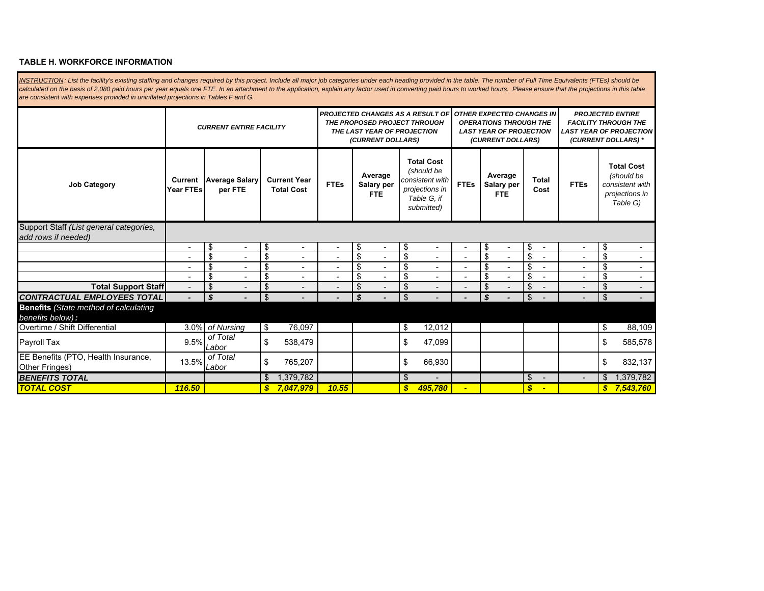#### **TABLE H. WORKFORCE INFORMATION**

**Job Category Current Year FTEsAverage Salary Current Year | Average Salary | Current Year | Average Salary per FTES | Salary per Salary per Salary per Salary per Salary per Salary per Salary per Salary per Salary per Salary per Salary per Salary per S Total Cost** *(should be consistent with projections in Table G, if submitted)* **FTEsAverage Salary per FTETotal Cost FTEs Total Cost** *(should be consistent with projections in Table G)* INSTRUCTION: List the facility's existing staffing and changes required by this project. Include all major job categories under each heading provided in the table. The number of Full Time Equivalents (FTEs) should be calculated on the basis of 2,080 paid hours per year equals one FTE. In an attachment to the application, explain any factor used in converting paid hours to worked hours. Please ensure that the projections in this table *are consistent with expenses provided in uninflated projections in Tables F and G. CURRENT ENTIRE FACILITYPROJECTED CHANGES AS A RESULT OF THE PROPOSED PROJECT THROUGH THE LAST YEAR OF PROJECTION (CURRENT DOLLARS) OTHER EXPECTED CHANGES IN OPERATIONS THROUGH THE LAST YEAR OF PROJECTION (CURRENT DOLLARS) PROJECTED ENTIRE FACILITY THROUGH THE LAST YEAR OF PROJECTION (CURRENT DOLLARS) \** Support Staff *(List general categories, add rows if needed)*  $-$  \$  $-$  - \$ - \$ - - \$ - \$ - - \$ - \$ - - \$  $\sqrt{5}$   $-$  - \$ - \$ - - \$ - \$ - - \$ - \$ - - \$  $\sqrt{5}$   $-$  - \$ - \$ - - \$ - \$ - - \$ - \$ - - \$  $\sqrt{S}$   $-$  - \$ - \$ - - \$ - \$ - - \$ - \$ - - \$ **Total Support Staff** - - \$ - \$ - - \$ - \$ - - \$ - \$ - - \$ *CONTRACTUAL EMPLOYEES TOTAL - - \$* \$ - *- - \$* \$ - *- - \$* \$ - - - \$ **Benefits** *(State method of calculating benefits below):* Overtime / Shift Differential 1992 **by 12,012 by 12,012 by 12,012 by 12,012 c** 1998 **by 13** 88,109 Payroll Tax 9.5% o<sup>f Total</sup> \$ 538,479 **\$ \$ 47,099 \$ \$ 585**,578 EE Benefits (PTO, Health Insurance, Other Fringes) 13.5% *of Total Labor* \$ 765,207 \$ 66,930 \$ 832,137 *BENEFITS TOTAL*<mark>4 - 1,379,782 - 1,379,782 - 1,5 - 1,5 - 1,5 - 1,379,782 - 1,5 - 1,379,782 - 1,5 - 1,379,782 - 1,5 - 1,379,782 - 1,</mark> *TOTAL COST 116.50 7,047,979 \$ 10.55 495,780 \$ - - \$ 7,543,760 \$*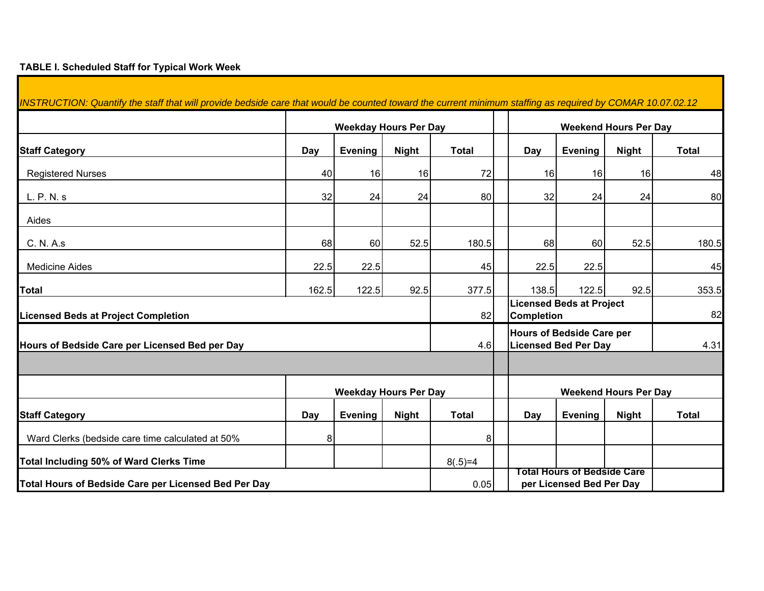## **TABLE I. Scheduled Staff for Typical Work Week**

Г

| INSTRUCTION: Quantify the staff that will provide bedside care that would be counted toward the current minimum staffing as required by COMAR 10.07.02.12 |       |         |                              |                                                         |                                                      |                                                                 |                              |              |
|-----------------------------------------------------------------------------------------------------------------------------------------------------------|-------|---------|------------------------------|---------------------------------------------------------|------------------------------------------------------|-----------------------------------------------------------------|------------------------------|--------------|
|                                                                                                                                                           |       |         | <b>Weekday Hours Per Day</b> |                                                         |                                                      |                                                                 | <b>Weekend Hours Per Day</b> |              |
| <b>Staff Category</b>                                                                                                                                     | Day   | Evening | <b>Night</b>                 | <b>Total</b>                                            | Day                                                  | <b>Evening</b>                                                  | <b>Night</b>                 | <b>Total</b> |
| <b>Registered Nurses</b>                                                                                                                                  | 40    | 16      | 16                           | 72                                                      | 16                                                   | 16                                                              | 16                           | 48           |
| L. P. N. s                                                                                                                                                | 32    | 24      | 24                           | 80                                                      | 32                                                   | 24                                                              | 24                           | 80           |
| Aides                                                                                                                                                     |       |         |                              |                                                         |                                                      |                                                                 |                              |              |
| C. N. A.s                                                                                                                                                 | 68    | 60      | 52.5                         | 180.5                                                   | 68                                                   | 60                                                              | 52.5                         | 180.5        |
| <b>Medicine Aides</b>                                                                                                                                     | 22.5  | 22.5    |                              | 45                                                      | 22.5                                                 | 22.5                                                            |                              | 45           |
| Total                                                                                                                                                     | 162.5 | 122.5   | 92.5                         | 377.5                                                   | 138.5                                                | 122.5                                                           | 92.5                         | 353.5        |
| <b>Licensed Beds at Project Completion</b>                                                                                                                |       |         |                              | 82                                                      | <b>Licensed Beds at Project</b><br><b>Completion</b> | 82                                                              |                              |              |
| Hours of Bedside Care per Licensed Bed per Day                                                                                                            |       |         |                              | 4.6                                                     |                                                      | <b>Hours of Bedside Care per</b><br><b>Licensed Bed Per Day</b> |                              | 4.31         |
|                                                                                                                                                           |       |         |                              |                                                         |                                                      |                                                                 |                              |              |
|                                                                                                                                                           |       |         | <b>Weekday Hours Per Day</b> |                                                         |                                                      |                                                                 | <b>Weekend Hours Per Day</b> |              |
| <b>Staff Category</b>                                                                                                                                     | Day   | Evening | <b>Night</b>                 | <b>Total</b>                                            | Day                                                  | <b>Evening</b>                                                  | <b>Night</b>                 | <b>Total</b> |
| Ward Clerks (bedside care time calculated at 50%                                                                                                          | 8     |         |                              | 8                                                       |                                                      |                                                                 |                              |              |
| Total Including 50% of Ward Clerks Time                                                                                                                   |       |         |                              | $8(.5)=4$                                               |                                                      |                                                                 |                              |              |
| Total Hours of Bedside Care per Licensed Bed Per Day                                                                                                      |       | 0.05    |                              | Total Hours of Bedside Care<br>per Licensed Bed Per Day |                                                      |                                                                 |                              |              |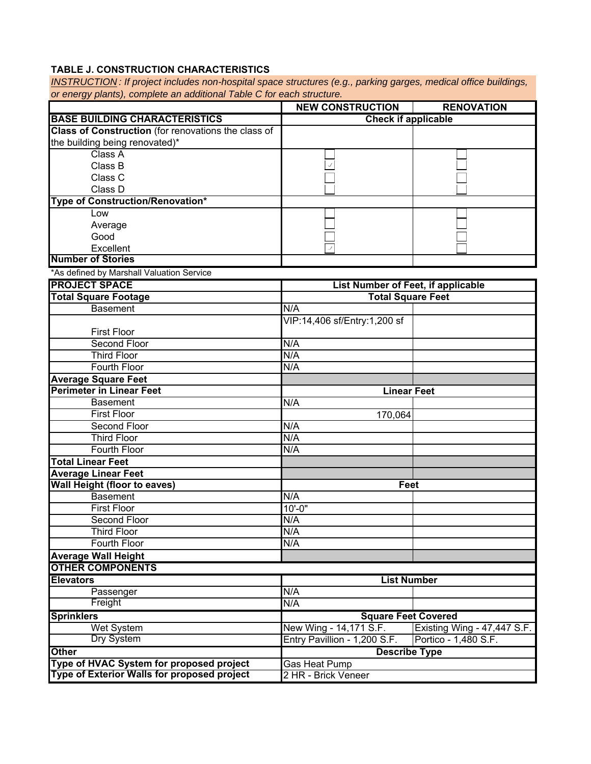# **TABLE J. CONSTRUCTION CHARACTERISTICS**

*INSTRUCTION : If project includes non-hospital space structures (e.g., parking garges, medical office buildings, or energy plants), complete an additional Table C for each structure.*

|                                                        | <b>NEW CONSTRUCTION</b>                              | <b>RENOVATION</b>                                   |
|--------------------------------------------------------|------------------------------------------------------|-----------------------------------------------------|
| <b>BASE BUILDING CHARACTERISTICS</b>                   | <b>Check if applicable</b>                           |                                                     |
| Class of Construction (for renovations the class of    |                                                      |                                                     |
| the building being renovated)*                         |                                                      |                                                     |
| Class A                                                |                                                      |                                                     |
| Class B                                                |                                                      |                                                     |
| Class C                                                |                                                      |                                                     |
| Class D                                                |                                                      |                                                     |
| Type of Construction/Renovation*                       |                                                      |                                                     |
| Low                                                    |                                                      |                                                     |
| Average                                                |                                                      |                                                     |
| Good                                                   |                                                      |                                                     |
| Excellent                                              |                                                      |                                                     |
| <b>Number of Stories</b>                               |                                                      |                                                     |
| *As defined by Marshall Valuation Service              |                                                      |                                                     |
| <b>PROJECT SPACE</b>                                   | List Number of Feet, if applicable                   |                                                     |
| <b>Total Square Footage</b>                            | <b>Total Square Feet</b>                             |                                                     |
| <b>Basement</b>                                        | N/A                                                  |                                                     |
|                                                        | VIP:14,406 sf/Entry:1,200 sf                         |                                                     |
| <b>First Floor</b>                                     |                                                      |                                                     |
| Second Floor                                           | N/A                                                  |                                                     |
| <b>Third Floor</b>                                     | N/A                                                  |                                                     |
| Fourth Floor                                           | N/A                                                  |                                                     |
| <b>Average Square Feet</b>                             |                                                      |                                                     |
| <b>Perimeter in Linear Feet</b>                        | <b>Linear Feet</b>                                   |                                                     |
| <b>Basement</b>                                        | N/A                                                  |                                                     |
| <b>First Floor</b>                                     | 170,064                                              |                                                     |
| Second Floor                                           | N/A                                                  |                                                     |
| <b>Third Floor</b>                                     | N/A                                                  |                                                     |
| <b>Fourth Floor</b>                                    | N/A                                                  |                                                     |
| <b>Total Linear Feet</b>                               |                                                      |                                                     |
| <b>Average Linear Feet</b>                             |                                                      |                                                     |
| <b>Wall Height (floor to eaves)</b><br><b>Basement</b> | Feet<br>N/A                                          |                                                     |
| <b>First Floor</b>                                     | $10' - 0''$                                          |                                                     |
| Second Floor                                           | N/A                                                  |                                                     |
| <b>Third Floor</b>                                     | N/A                                                  |                                                     |
| Fourth Floor                                           | N/A                                                  |                                                     |
|                                                        |                                                      |                                                     |
| <b>Average Wall Height</b><br><b>OTHER COMPONENTS</b>  |                                                      |                                                     |
| <b>Elevators</b>                                       | <b>List Number</b>                                   |                                                     |
|                                                        | N/A                                                  |                                                     |
| Passenger<br>Freight                                   | N/A                                                  |                                                     |
| <b>Sprinklers</b>                                      |                                                      |                                                     |
| <b>Wet System</b>                                      | <b>Square Feet Covered</b><br>New Wing - 14,171 S.F. |                                                     |
| Dry System                                             | Entry Pavillion - 1,200 S.F.                         | Existing Wing - 47,447 S.F.<br>Portico - 1,480 S.F. |
| <b>Other</b>                                           |                                                      |                                                     |
| Type of HVAC System for proposed project               | <b>Describe Type</b>                                 |                                                     |
| Type of Exterior Walls for proposed project            | Gas Heat Pump<br>2 HR - Brick Veneer                 |                                                     |
|                                                        |                                                      |                                                     |